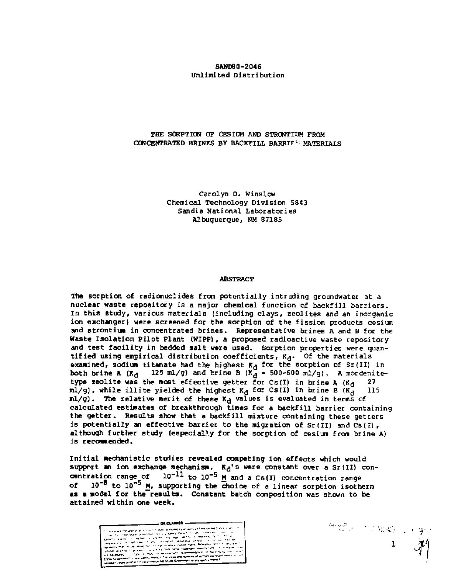#### **SAND80-2046 Unlimited Distribution**

#### **THE SORPTION OF CESIDH AND STRONTIUM FROM CONCENTRATED BRINES BY BACKFILL BARRIE<sup>5</sup> MATERIALS**

**Carolyn D. Winslow Chemical Technology Division 5843 Sandia National Laboratories Albuquerque, NM 87185** 

#### **ABSTRACT**

**The sorption of radionuclides from potentiall y intruding groundwater at a nuclear waste repository is a major chemical function of backfill barriers. In this study, various materials (including clays, zeolite s and an inorganic**  ion exchanger) were screened for the sorption of the fission products cesium **and strontium in concentrated brines. Representative brines A and B for the Waste Isolatio n Pilo t Plant (WIPP), a proposed radioactive waste repository**  and test facility in bedded salt were used. Sorption properties were quan**tified** using empirical distribution coefficients,  $K_d$ . Of the materials examined, sodium titanate had the highest K<sub>d</sub> for the sorption of Sr(II) in <br>both brine A (K<sub>d</sub> 125 ml/g) and brine B (K<sub>d</sub> = 500-600 ml/g). A mordenite**type zeolite was the most effective getter for Cs(I) in brine A (K<sub>d</sub>**  $m!/g$ , while illite yielded the highest  $K_d$  for Cs(I) in brine B  $(K_d$  115 **ml/g). The relative merit of these K<sub>d</sub> values is evaluated in terms of calculated estimate s of breakthrough times for a backfil l barrier containing the getter . Results show that a backfill mixture containing these getter s**  is potentially an effective barrier to the migration of  $Sr(II)$  and  $Cs(I)$ , although further study (especially for the sorption of cesium from brine A) is recommended.

Initial mechanistic studies revealed competing ion effects which would support an ion exchange mechanism. K<sub>d</sub>'s were constant over a Sr(II) con-<br>centration range of 10<sup>-11</sup> to 10<sup>-5</sup> M and a Cs(I) concentration range<br>of 10<sup>-5</sup> to 10<sup>-5</sup> M, supporting the choice of a linear sorption isotherm **as a model for the results. Constant batch composition was shown to be attained within one week.** 

**1** 

行動 このぬり いず

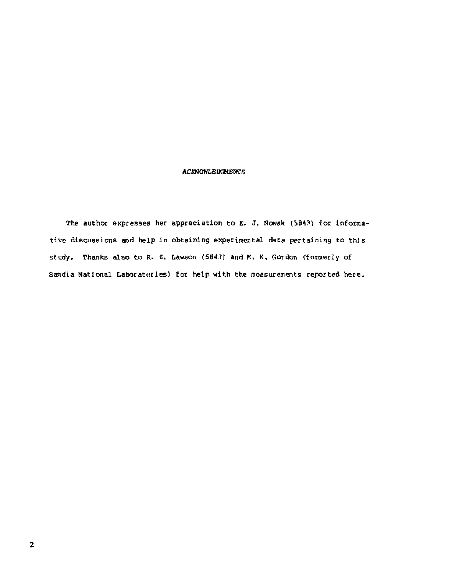#### **ACKNOWLEDGMENTS**

The author expresses her appreciation to E. J. Nowak (5843) for informative discussions and help in obtaining experimental data pertaining to this study. Thanks also to R. Z. Lawson (5843) and M, K, Gordon (formerly of Sandia National Laboratories) for help with the measurements reported here.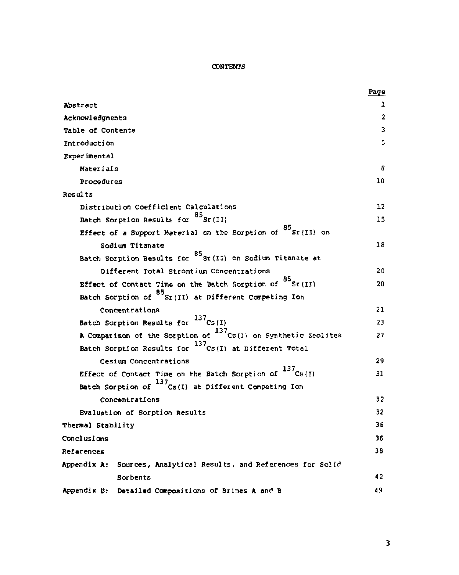#### **CONTENTS**

|                                                                       | <u>Page</u>    |
|-----------------------------------------------------------------------|----------------|
| Abstract                                                              | ı              |
| Acknowledgments                                                       | $\overline{a}$ |
| Table of Contents                                                     | 3              |
| Introduction                                                          | 5              |
| Experimental                                                          |                |
| Materials                                                             | 8              |
| Procedures                                                            | 10             |
| Results                                                               |                |
| Distribution Coefficient Calculations                                 | 12             |
| Batch Sorption Results for <sup>85</sup> Sr(II)                       | 15             |
| Effect of a Support Material on the Sorption of $^{85}$ Sr(II) on     |                |
| Sodium Titanate                                                       | 18             |
| Batch Sorption Results for <sup>85</sup> Sr(II) on Sodium Titanate at |                |
| Different Total Strontium Concentrations                              | 20             |
| Effect of Contact Time on the Batch Sorption of 85 Sr(II)             | 20             |
| Batch Sorption of Sr(II) at Different Competing Ion                   |                |
| Concentrations                                                        | 21             |
| Batch Sorption Results for 137Cs(I)                                   | 23             |
| A Comparison of the Sorption of 137 Cs(I) on Synthetic Zeolites       | 27             |
| Batch Sorption Results for $^{137}$ Cs(I) at Different Total          |                |
| Cesium Concentrations                                                 | 29             |
| Effect of Contact Time on the Batch Sorption of $^{137}$ Cs(I)        | 31             |
| Batch Sorption of $^{137}$ Cs(I) at Different Competing Ion           |                |
| Concentrations                                                        | 32             |
| Evaluation of Sorption Results                                        | 32             |
| Thermal Stability                                                     | 36             |
| Conclusions                                                           | 36             |
| References                                                            | 38             |
| Appendix A: Sources, Analytical Results, and References for Solid     |                |
| Sorbents                                                              | 42             |
| Appendix B:<br>Detailed Compositions of Brines A and B                | 49             |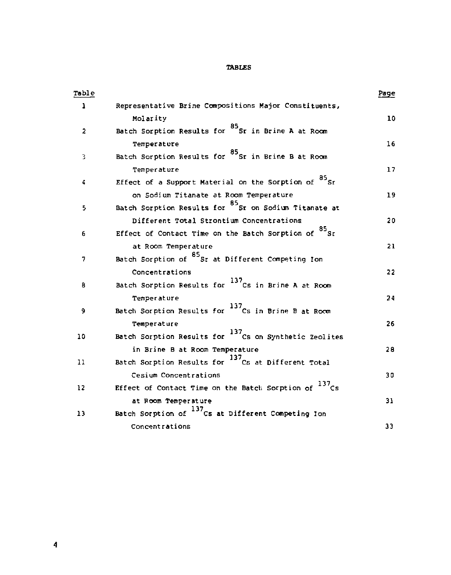### TABLES

| Table                   |                                                                    | Page |
|-------------------------|--------------------------------------------------------------------|------|
| 1                       | Representative Brine Compositions Major Constituents,              |      |
|                         | Molarity                                                           | 10   |
| $\overline{\mathbf{z}}$ | Batch Sorption Results for <sup>85</sup> Sr in Brine A at Room     |      |
|                         | Temperature                                                        | 16   |
| 3                       | Batch Sorption Results for 85 Sr in Brine B at Room                |      |
|                         | <b>Temperature</b>                                                 | 17   |
| 4                       | Effect of a Support Material on the Sorption of $^{85}$ Sr         |      |
|                         | on Sodium Titanate at Room Temperature                             | 19   |
| 5                       | Batch Sorption Results for <sup>85</sup> Sr on Sodium Titanate at  |      |
|                         | Different Total Strontium Concentrations                           | 20   |
| 6                       | Effect of Contact Time on the Batch Sorption of <sup>85</sup> Sr   |      |
|                         | at Room Temperature                                                | 21   |
| 7                       | Batch Sorption of <sup>85</sup> Sr at Different Competing Ion      |      |
|                         | Concentrations                                                     | 22   |
| 8                       | Batch Sorption Results for <sup>137</sup> Cs in Brine A at Room    |      |
|                         | Temperature                                                        | 24   |
| 9                       | Batch Sorption Results for <sup>137</sup> Cs in Brine B at Room    |      |
|                         | Temperature                                                        | 26   |
| 10                      | Batch Sorption Results for <sup>137</sup> Cs on Synthetic Zeolites |      |
|                         | in Brine B at Room Temperature                                     | 28   |
| 11                      | Batch Sorption Results for <sup>137</sup> Cs at Different Total    |      |
|                         | Cesium Concentrations                                              | 30   |
| 12                      | Effect of Contact Time on the Batch Sorption of 137Cs              |      |
|                         | at Room Temperature                                                | 31   |
| 13                      | Batch Sorption of <sup>137</sup> Cs at Different Competing Ion     |      |
|                         | Concentrations                                                     | 33   |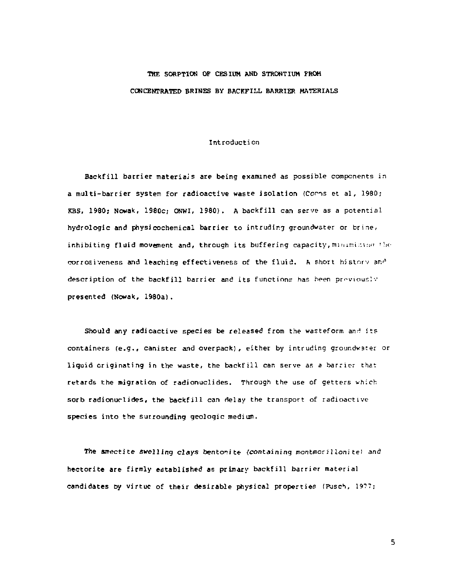### THE SORPTION OP CESIUM AND STRONTIUM FROM CONCENTRATED BRINES BY BACKFILL BARRIER MATERIALS

#### Introduction

Backfill barrier materials are being examined as possible components in a multi-barrier system for radioactive waste isolation (Conns et al, 1980; KBS, 1980; Nowak, 1980c; ONWI, 1980). A backfill can serve as a potential hydrologic and physicochemical barrier to intruding groundwater or brine, inhibiting fluid movement and, through its buffering capacity, minimizing the corrosiveness and leaching effectiveness of the fluid. A short history and description of the backfill barrier and its functions has been previously presented (Nowak, 1980a).

Should any radioactive species be released from the wasteform and its containers (e.g., canister and overpack), either by intruding groundwater or liquid criginating in the waste, the backfill can serve as a barrier that retards the migration of radionuclides. Through the use of getters which sorb radionuclides, the backfill can delay the transport of radioactive species into the surrounding geologic medium.

The smectite swelling clays bentonite (containing montmorillonite) and hectorite are firmly established as primary backfill barrier material candidates by virtue of their desirable physical properties (Pusch, 19??;

 $\overline{\phantom{a}}$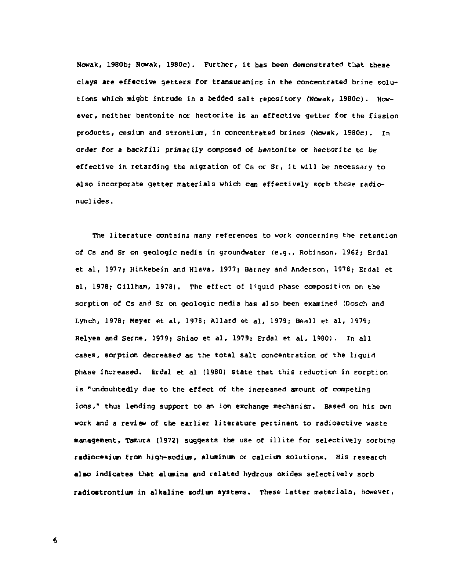**Nowak, 1960b; Nowak, 1980c). Further, it has been demonstrated t!iat these clays are effective getters for transuranics in the concentrated brine solutions which might intrude in a bedded salt repository (Nowak, 1980c). However, neither bentonite nor hectorite is an effective getter for the fission products, cesium and strontium, in concentrated brines (Nowak, 1980c). In order for a backfili primarily composed of bentonite or hectorite to be effective in retarding the migration of Cs or Sr, it will be necessary to also incorporate getter materials which can effectively sorb these radionuclides.** 

**The literature contains many references to work concerning the retention of Cs and Sr on geologic media in groundwater (e.g., Robinson, 1962; Erdal et al, 1977; Hinkebein and Hlava, 1977; Barney and Anderson, 1978; Erdal et al, 1978? Gillham, 1978). The effect of liquid phase composition on the sorption of cs and Sr on geologic media has also been examined (Dosch and Lynch, 1978; Meyer et al, 1978; Allard et al, 1979; Beall et al, 1979; Relyea and Serne, 1979; Shiao et al, 1979; Erdal et al, 19B0). In all cases, sorption decreased as the total salt concentration of the liquid phase increased. Erdal et al (1960) state that this reduction in sorption is "undouhtedly due to the effect of the increased amount of competing ions," thus lending support to an ion exchange mechanism. Based on his own work and a review of the earlier literature pertinent to radioactive waste management, Tenuira (1972) suggests the use of illite for selectively sorbing radiocesium from high-sodium, aluminun or calcium solutions. His research alio indicates that alumina and related hydrous oxides selectively sorb radiostrontium in alkaline todiim systems. These latter materials, however,**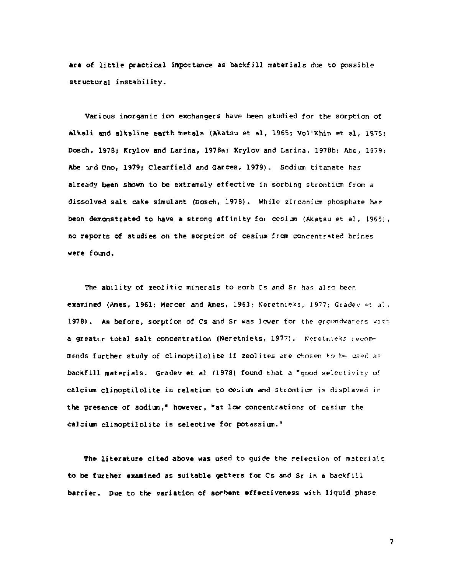are of little practical importance as backfill materials due to possible structural instability.

Various inorganic ion exchangers have been studied for the sorption of alkali and alkaline earth metals (Akatsu et al, 1965; Vol'Khin et al, 1975; Dosch, 1978; Krylov and Larina, 1978a; Krylov and Larina, 197Bb; Abe, 1979; Abe ird Uno, 1979; Clearfield and Garces, 1979). Sodium titanate has already been shown to be extremely effective in sorbing strontium from a dissolved salt cake simulant (Dosch, 1978). While zirconium phosphate has been demonstrated to have a strong affinity for cesium (Akatsu et al, 1965), no reports of studies on the sorption of cesium from concentrated brines were found.

The ability of 2eolitic minerals to sorb Cs and Sr has also beer. examined (Ames, 1961; Mercer and Ames, 1963; Neretnieks, 1977; Gradev et al. 1978). As before, sorption of Cs and Sr was lower for the groundwaters with a greater total salt concentration (Neretnieks, 1977). Neretnieks recommends further study of clinoptilolite if zeolites are chosen to be used as backfill materials. Gradev et al (1978) found that a "good selectivity of calcium clinoptilol ite in relation to cesium and strontium is displayed in the presence of sodium." however, "at low concentrations of cesium the calcium clinoptilolite is selective for potassium."

The literature cited above was used to quide the selection of materials to be further examined as suitable getters for Cs and Sr in a backfill barrier. Due to the variation of sorbent effectiveness with liquid phase

 $\overline{7}$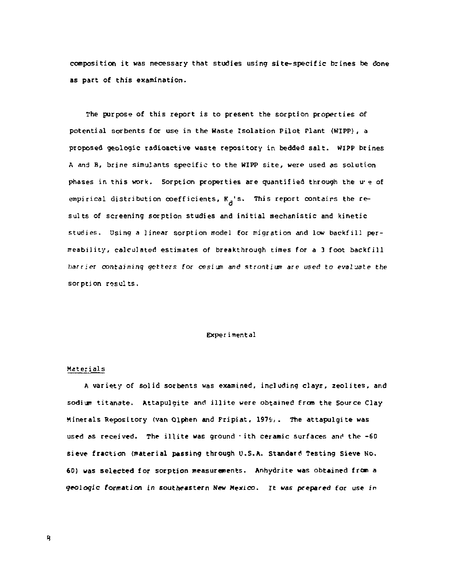composition it was necessary that studies using site-specific brines be done as part of this examination.

The purpose of this report is to present the sorption properties of potential sorbents for use in the Waste Isolation Pilot Plant (WIPP), a proposed geologic radioactive waste repository in bedded salt. WIPP brines A and B, brine simulants specific to the WIPP site , were used as solution phases in this work. Sorption properties are quantified through the u'e of empirical distribution coefficients,  $K_A^{-1}s$ . This report contairs the results of screening sorption studies and initial mechanistic and kinetic studies. Using a linear sorption model for migration and low backfill persorption results.

#### Exper imental

#### Materials

A variety of solid sorbents was examined, including clays, zeolites, and sodium titanate. Attapulgite and illite were obtained from the Source Clay Minerals Repository (van Olphen and Fripiat, 1979). The attapulgite was used as received. The illite was ground  $\cdot$  ith ceramic surfaces and the -60 sieve fraction (material passing through U.S.A. Standard Testing Sieve No. 60} was selected for sorption measurements. Anhydrite was obtained from a geologic formation in southeastern New Mexico, it was prepared for use in

*H*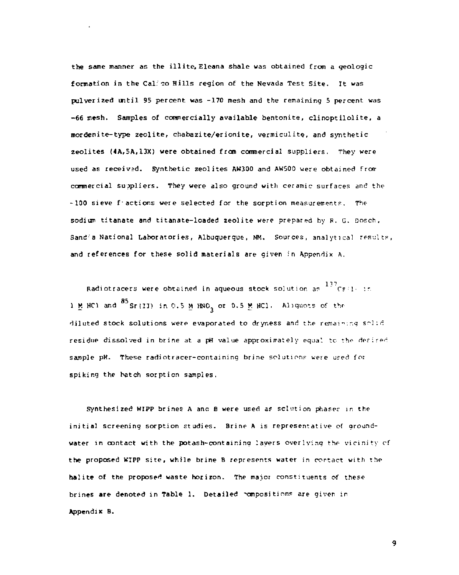the same manner as the illite, Eleana shale was obtained from a geologic formation in the Cal: co Hills region of the Nevada Test Site. It was pulverized until 95 percent was -170 mesh and the remaining 5 percent was -66 mesh. Samples of commercially available bentonite, clinoptilolite , a mordenite-type zeolite, chabazite/erionite, vermiculits, and synthetic zeolites (4A,5A,13X) were obtained from commercial suppliers. They were used as received. Synthetic zeolites AW300 and AW500 were obtained frorr commercial suppliers. They were also ground with ceramic surfaces and the -100 sieve f'actions were selected for the sorption measurements. The sodium titanate and titanate-loaded 2eolite were prepared by R. G. Dosch, Sand'a National Laboratories, Albuquerque, NM. Sources, analytical results, and references for these solid materials are given in Appendix A.

Radiotracers were obtained in aqueous stock solution as <sup>137</sup> CF T in 1 M HC1 and  $^{85}$ Sr(II) in 0.5 M HNO<sub>2</sub> or 0.5 M HC1. Aliguots of the diluted stock solutions were evaporated to dryness and the remaining solid residue dissolved in brine at a pH value approximately equal to the *detire-r*  sample pH. These radiotracer-containing brine solutions were used for spiking the batch sorption samples.

Synthesized WIPP brines A and B were used as solution phases in the initial screening sorption studies. Brine A is representative of groundwater in contact with the potash-containing layers overlying the vicinity cf the proposed WIPP site, while brine B represents water in contact with the halite of the proposed waste horizon. The major constituents of these brines are denoted in Table 1. Detailed compositions are given in Appendix B.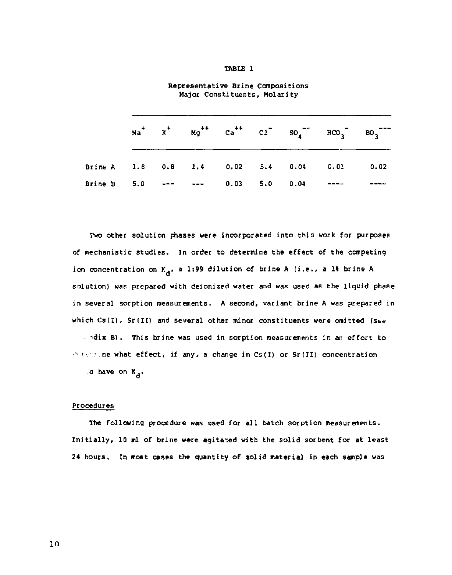#### TABLE 1

|                                             |  |  |  | $na^{+}$ $n^{+}$ $n^{+}$ $ca^{++}$ $ca^{-}$ $so_{4}^{--}$ $RO_{3}^{--}$ $BO_{3}^{---}$ |  |  |  |
|---------------------------------------------|--|--|--|----------------------------------------------------------------------------------------|--|--|--|
| Brine A 1.8 0.8 1.4 0.02 5.4 0.04 0.01 0.02 |  |  |  |                                                                                        |  |  |  |
| Brine B 5.0 --- --- 0.03 5.0 0.04 ----      |  |  |  |                                                                                        |  |  |  |

Representative Brine Compositions Major Constituents, Molarity

Two other solution phases were incorporated into this work for purposes of mechanistic studies. In order to determine the effect of the competing ion concentration on K<sub>a</sub>, a 1:99 dilution of brine A (i.e., a 1% brine A solution) was prepared with deionized water and was used as the liquid phase in several sorption measurements. A second, variant brine A was prepared in which  $Cs(I)$ ,  $Sr(II)$  and several other minor constituents were omitted (see

...dix B). This brine was used in sorption measurements in an effort to  $\triangle$   $\cdots$  . ne what effect, if any, a change in Cs(I) or Sr(II) concentration a have on K\_. *a* 

#### Procedures

The following procedure was used for all batch sorption measurements. Initially, 10 ml of brine were agitated with the solid sorbent for at least 24 hours. In most cases the quantity of solid material in each sample was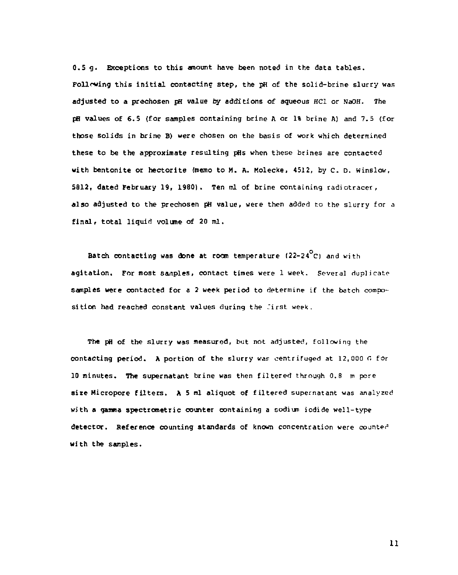0.5 g. Exceptions to this amount have been noted in the data tables. Following this initial contacting step, the pH of the solid-brine slurry was adjusted to a prechosen pH value by additions of aqueous HC1 or NaOH. The pH values of 6.5 {for samples containing brine A or 1% brine A) and 7.5 (for those solids in brine B) were chosen on the basis of work which determined these to be the approximate resulting pHs when these brines are contacted with bentonite or hectorite (memo to M. A. Molecke, 4512, by C. D. Winslow, 5812, dated February 19, 1980). Ten ml of brine containing radiotracer, also adjusted to the prechosen pH value, were then added to the slurry for a final, total liquid volume of 20 ml.

Batch contacting was done at room temperature (22-24 $^{\circ}$ C) and with agitation. For most samples, contact times were 1 week. Several duplicate samples were contacted for a 2 week period to determine if the batch composition had reached constant values during the first week.

The pH of the slurry was measured, but not adjusted, following the contacting period. A portion of the slurry was centrifuged at 12,000 G for 10 minutes. The supernatant brine was then filtered through 0.8 m pore aire Micropore filters. A 5 ml aliquot of filtered supernatant was analyzed with a gamna spectrometric counter containing a sodium iodide well-type detector. Reference counting standards of known concentration were counted with the samples.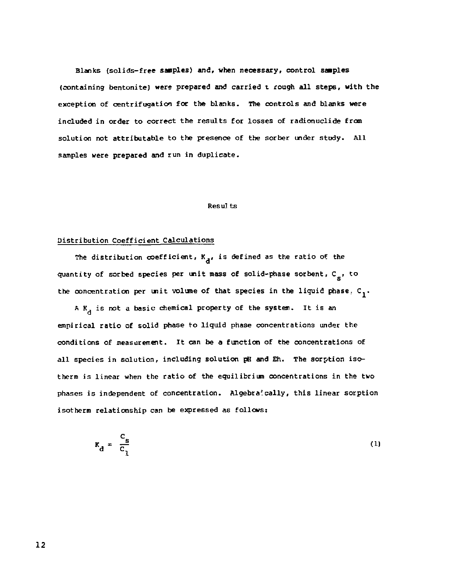Blanks (solids-free samples) and, when necessary, control samples (containing bentonite) were prepared and carried t rough all steps, with the exception of centrifugation for the blanks. The controls and blanks were included in order to correct the results for losses of radionuclide from solution not attributable to the presence of the sorber under study. All samples were prepared and run in duplicate.

#### Results

#### Distribution Coefficient Calculations

The distribution  $\operatorname{coeff}$ icient,  $\kappa_{\mathbf{d}}^{\phantom{\dag}},$  is defined as the ratio of the quantity of sorbed species per unit mass of solid-phase sorbent,  $C_{\sigma}$ , to the concentration per unit volume of that species in the liquid phase,  $c_1$ .

A  $K_A$  is not a basic chemical property of the system. It is an empirical ratio of solid phase to liquid phase concentrations under the conditions of measurement. It can be a function of the concentrations of all species in solution, including solution pH and Eh. The sorption isotherm is linear when the ratio of the equilibrium concentrations in the two phases is independent of concentration. Algebraically, this linear sorption isotherm relationship can be expressed as follows:

$$
K_{\rm d} = \frac{c_{\rm s}}{c_1} \tag{1}
$$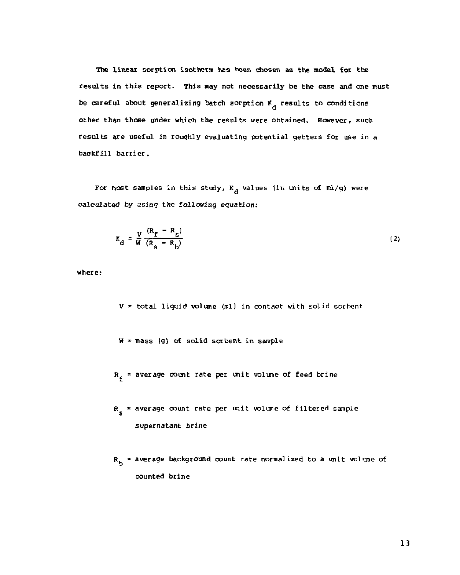The linear sorption isotherm has been chosen as the model for the results in this report. This may not necessarily be the case and one must be careful about generalizing batch sorption  $K_A$  results to conditions other than those under which the results were obtained. However, such results are useful in roughly evaluating potential getters for use in a

For most samples in this study,  $K_A$  values (in units of ml/g) were calculated by using the following equation:

$$
K_{\rm d} = \frac{V}{W} \frac{(R_{\rm f} - R_{\rm s})}{(R_{\rm s} - R_{\rm b})} \tag{2}
$$

where:

V *~* total liquid volume (ml) in contact with solid sorbent

- $W = \text{mass}$  (q) of solid sorbent in sample
- $R_{z}$  = average count rate per unit volume of feed brine
- *fi* \* average count rate per unit volume of filtered sample supernatant brine
- R<sub>h</sub> = average background count rate normalized to a unit volume of counted brine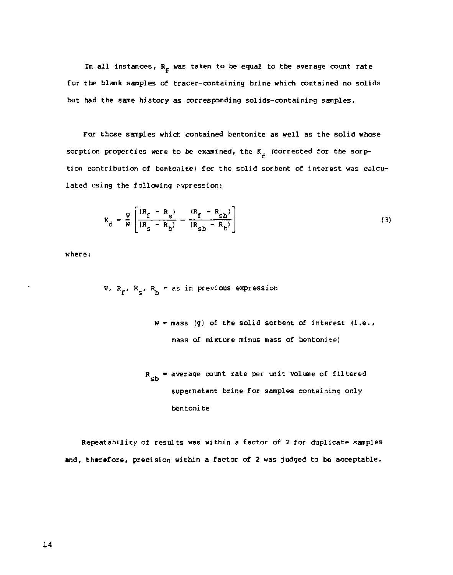In all instances,  $R_f$  was taken to be equal to the average count rate for the blank samples of tracer-containing brine which contained no solids but had the same history as corresponding solids-containing samples.

For those samples which contained bentonite as well as the solid whose sorption properties were to be examined, the K<sub>d</sub> (corrected for the sorption contribution of bentonite) for the solid sorbent of interest was calculated using the following expression:

$$
K_{\rm d} = \frac{V}{W} \left[ \frac{(R_{\rm f} - R_{\rm s})}{(R_{\rm s} - R_{\rm b})} - \frac{(R_{\rm f} - R_{\rm sb})}{(R_{\rm sb} - R_{\rm b})} \right]
$$
(3)

where:

V,  $R_f$ ,  $R_s$ ,  $R_h$  = as in previous expression

 $W = \text{mass}$  (q) of the solid sorbent of interest (i.e., mass of mixture minus mass of bentonite)

```
R_{ch} = average count rate per unit volume of filtered
      supernatant brine for samples containing only
      bentonit e
```
Repeatability of results was within a factor of 2 for duplicate samples and, therefore, precision within a factor of 2 was judged to be acceptable.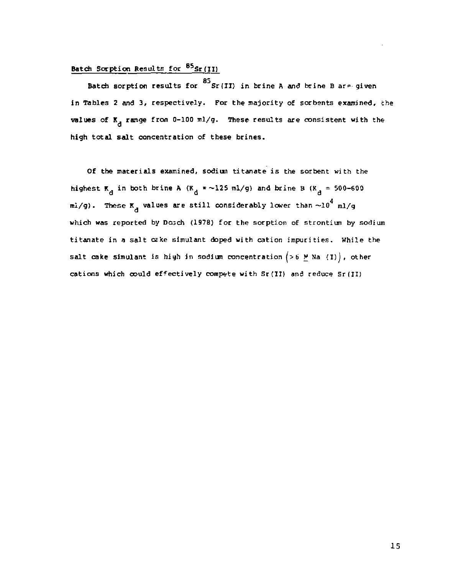#### Batch Sorption Results for <sup>03</sup>Sr(II)

Batch sorption results for  $85$ <br>Sr(II) in brine A and brine B are given in Tables 2 and 3, respectively. For the majority of sorbents examined, the values of  $K_A$  range from 0-100 ml/g. These results are consistent with the high total salt concentration of these brines.

Of the materials examined, sodium titanate is the sorbent with the highest  $\mathbf{K}_A$  in both brine A ( $\mathbf{K}_A$  = ~125 ml/g) and brine B ( $\mathbf{K}_A$  = 500-600 mi/g). These  $\kappa_{_{A}}$  values are still considerably lower than  $\sim\!\!10^4$  ml/g which was reported by Dosch (1978) for the sorption of strontium by sodium titanate in a salt cake simulant doped with cation impurities. While the salt cake simulant is high in sodium concentration  $(>6$  M Na (I)), other cations which could effectively compete with Sr(II) and reduce Sr(ll)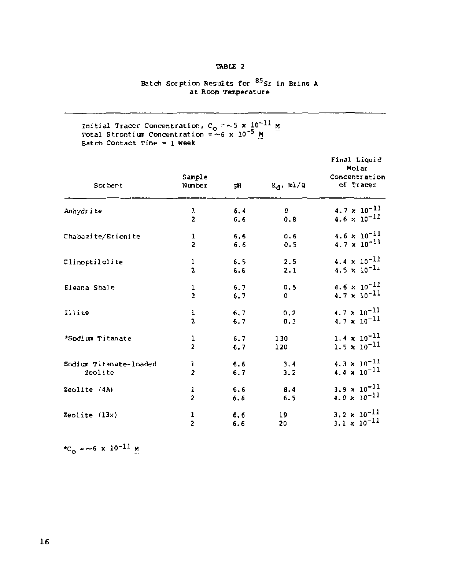#### TABLE 2

# Batch Sorption Results for <sup>09</sup>Sr in Brine A<br>at Room Temperature

Initial Tracer Concentration, C<sub>o</sub> =~5 x 10<sup>-11</sup> h<br>Total Strontium Concentration =~6 x 10<sup>-5</sup> <u>M</u><br>Batch Contact Time = 1 Week

| Sor bent               | Sample<br>Number | pH  | $R_d$ , ml/g | Final Liquid<br>Molar<br>Concentration<br>of Tracer |
|------------------------|------------------|-----|--------------|-----------------------------------------------------|
| Anhydrite              | 1                | 6.4 | $\mathbf{0}$ | $4.7 \times 10^{-11}$                               |
|                        | $\overline{2}$   | 6.6 | 0.8          | $4.6 \times 10^{-11}$                               |
| Chabazite/Erionite     | $\frac{1}{2}$    | 6.6 | 0.6          | $4.6 \times 10^{-11}$                               |
|                        |                  | 6.6 | 0.5          | $4.7 \times 10^{-11}$                               |
| Climoptilolite         | 1                | 6.5 | 2.5          | $4.4 \times 10^{-11}$                               |
|                        | $\overline{a}$   | 6.6 | 2.1          | $4.5 \times 10^{-11}$                               |
| Eleana Shale           | ı                | 6,7 | 0.5          | $4.6 \times 10^{-11}$                               |
|                        | $\overline{2}$   | 6.7 | 0            | $4.7 \times 10^{-11}$                               |
| Illite                 | $\frac{1}{2}$    | 6.7 | 0.2          | $4.7 \times 10^{-11}$                               |
|                        |                  | 6.7 | 0.3          | 4.7 $\times$ 10 <sup>-11</sup>                      |
| *Sodium Titanate       | 1                | 6.7 | 130          | $1.4 \times 10^{-11}$                               |
|                        | $\overline{a}$   | 6.7 | 120          | $1.5 \times 10^{-11}$                               |
| Sodium Titanate-loaded | ı                | 6.6 | 3.4          | $4.3 \times 10^{-11}$                               |
| Zeolite                | $\overline{a}$   | 6.7 | 3.2          | $4.4 \times 10^{-11}$                               |
| Zeolite (4A)           |                  | 6.6 | 8.4          | $3.9 \times 10^{-11}$                               |
|                        | $\frac{1}{2}$    | 6.6 | 6.5          | $4.0 \times 10^{-11}$                               |
| Zeolite $(13x)$        | 1                | 6.6 | 19           | $3.2 \times 10^{-11}$                               |
|                        | $\overline{2}$   | 6.6 | 20           | $3.1 \times 10^{-11}$                               |

\*C = ~6 x 10<sup>-11</sup> M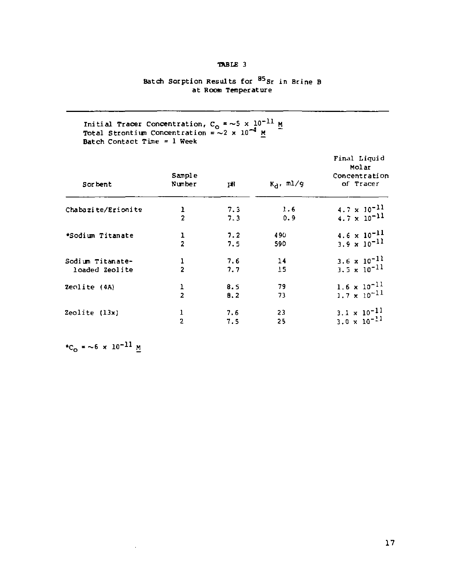#### **•ABLE 3**

# **Batch Sorption Results for <sup>85</sup> S r in Brine B at Room Temperature**

Initial Tracer Concentration,  $C_0 = \sim 5 \times 10^{-11}$  M<br>Total Strontium Concentration =  $\sim 2 \times 10^{-4}$  M<br>Batch Contact Time = 1 Week

| Sor bent           | Sample<br>Number | рH  | $K_A$ , $m1/g$ | Final Liquid<br>Molar<br>Concentration<br>of Tracer |
|--------------------|------------------|-----|----------------|-----------------------------------------------------|
| Chabazite/Erionite | ı                | 7.3 | 1.6            | $4.7 \times 10^{-11}$                               |
|                    | $\overline{2}$   | 7.3 | 0.9            | $4.7 \times 10^{-11}$                               |
| *Sodium Titanate   | ı                | 7.2 | 490            | $4.6 \times 10^{-11}$                               |
|                    | $\overline{a}$   | 7.5 | 590            | $3.9 \times 10^{-11}$                               |
| Sodium Titanate-   | ı                | 7.6 | 14             | 3, 6 $\times$ 10 <sup>-11</sup>                     |
| loaded Zeolite     | $\overline{2}$   | 7.7 | 15             | $3.5 \times 10^{-11}$                               |
| Zeolite (4A)       | ı                | 8.5 | 79             | $1.6 \times 10^{-11}$                               |
|                    | $\overline{2}$   | B.2 | 73             | $1.7 \times 10^{-11}$                               |
| Zeolite (13x)      | 1                | 7.6 | 23             | $3.1 \times 10^{-11}$                               |
|                    | $\overline{a}$   | 7.5 | 25             | $3.0 \times 10^{-11}$                               |

**\*C<sub>O</sub>** = ~6 x 10<sup>-11</sup> M

 $\ddot{\phantom{a}}$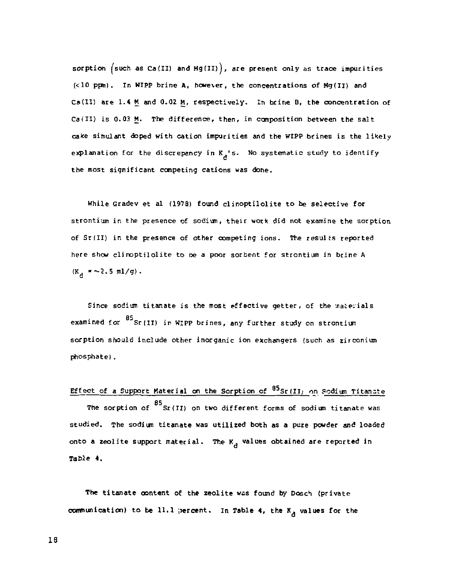sorption  $(such as Ca(II) and Mg(III))$ , are present only as trace impurities (<10 ppm). In Wipp brine A, however, the concentrations of Mg(II) and Ca(II) are 1.4 M and 0.02 M, respectively. In brine B, the concentration of Cat II) is 0.03 M. The difference, then, in composition between the salt cake simulant doped with cation impurities and the WIPP brines is the likely explanation for the discrepancy in  $K_{\alpha}$ 's. No systematic study to identify the most significant competing cations was done.<br>.

While Gradev et al (1978) found clinoptilolite to be selective for strontium in the presence of sodium, their work did not examine the sorption of Sr(II) in the presence of other competing ions. The results reported here show clinoptilolite to be a poor sorbent for strontium in brine A  $(K_a = -2.5 \text{ m1/g}).$ 

Since sodium titanate is the most effective getter, of the materials examined for <sup>85</sup> Sr(II) in WIPP brines, any further study on strontium sorption should include other inorganic ion exchangers isuch as zirconium phosphate) .

Effect of a Support Material on the Sorption of <sup>85</sup>Sr(II) on Sodium Titanate 85 The sorption of Sr(II} on two different forms of sodium titanate was studied. The sodium titanate was utilized both as a pure powder and loaded onto a zeolite support material. The  $K_A$  values obtained are reported in **a**  Table 4.

The titanate content of the zeolite was found by Dosch (private communication) to be 11.1 ;sercent. In Table 4, the  $K_A$  values for the

**IB**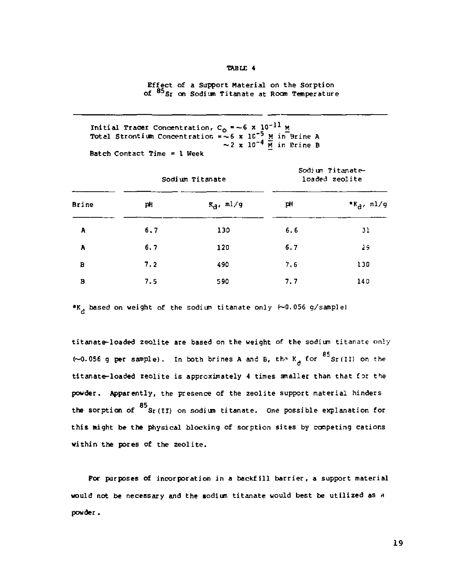#### TABLE 4

Effect of a Support Material on the Sorption<br>of <sup>85</sup>Sr on Sodium Titanate at Room T<del>em</del>perature

Initial Tracer Concentration, C<sub>o</sub> = ~6 x 10<sup>-11</sup> <u>M</u><br>Total Strontium Concentration = ~6 x 10<sup>-3</sup> M in Brine A<br>~2 x 10<sup>-4</sup> M in Brine B Batch Contact Time =  $1$  Week

|       |     | Sodium Titanate | Sodium Titanate-<br>loaded zeolite |                |  |
|-------|-----|-----------------|------------------------------------|----------------|--|
| Brine | pH  | $R_d$ , ml/g    | pH                                 | * $K_d$ , ml/g |  |
| ν     | 6.7 | 130             | 6.6                                | 31             |  |
| A     | 6.7 | 120             | 6.7                                | żŝ             |  |
| в     | 7.2 | 490             | 7.6                                | 130            |  |
| В     | 7.5 | 590             | 7.7                                | 140            |  |

\*K<sub>2</sub> based on weight of the sodium titanate only  $(-0.056 \text{ g/sample})$ 

titanate-loaded zeolite are based on the weight of the sodium titanate only (~0.056 g per sample). In both brines A and B, th^ K for ""Sr(II) on the titanate-loaded zeolite is approximately 4 times smaller than that for the powder. Apparently, the presence of the zeolite support material hinders the sorption of  $85$ <br>the sorption of Sr(II) on sodium titanate. One possible explanation for this might be the physical blocking of sorption sites by competing cations within the pores of the zeolite.

For purposes of incorporation in a backfill barrier, a support material would not be necessary and the sodium titanate would best be utilized as a powder.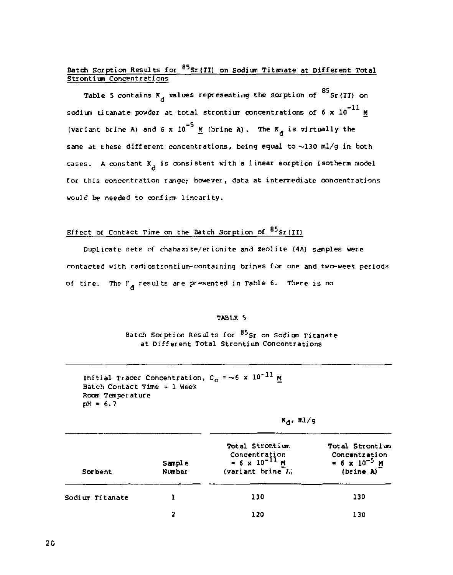### Batch Sorption Results for  $85$ Sr(II) on Sodium Titanate at Different Total Strontium Concentrations

Table 5 contains  $K_A$  values representing the sorption of  $^{85}$  Sr(II) on sodium titanate powder at total strontium concentrations of 6 x 10<sup>-11</sup> M K d same at these different concentrations, being equal to  $\sim$ 130 ml/g in both cases. A constant K<sub>2</sub> is consistent with a linear sorption isotherm model for this concentration range; however, data at intermediate concentrations would be needed to confirm linearity.

#### Effect of Contact Time on the Batch Sorption of <sup>05</sup>Sr(II)

Duplicate sets of chabazite/erionite and zeolite (4A) samples were contacted with radiostrontium-containing brines for one and two-week periods of time. The  $r_A$  results are presented in Table 6. There is no

#### TABLE 5

Batch Sorption Results for  $^{85}$ Sr on Sodium Titanate at Different Total Strontium Concentrations

```
Initial Tracer Concentration, C<sub>o</sub> = \sim6 x 10^{-11} M
Batch Contact Time = 1 Week
Room Temperature 
pH = 6.7
```

| m ı |
|-----|
|     |

| <b>Sorbent</b>  | Sample<br>Number | Total Strontium<br>Concentration<br>= $6 \times 10^{-11}$ M<br>(variant brine A) | Total Strontium<br>Concentration<br>$= 6 \times 10^{-5}$ M<br>(brine A) |  |
|-----------------|------------------|----------------------------------------------------------------------------------|-------------------------------------------------------------------------|--|
| Sodium Titanate |                  | 130                                                                              | 130                                                                     |  |
|                 | 2                | 120                                                                              | 130                                                                     |  |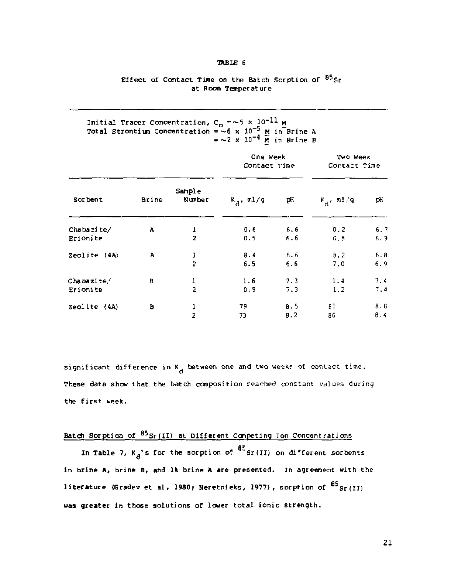#### TABLE 6

#### Effect of Contact Time on the Batch Sorption of  $85_{\text{Sr}}$ at Room Temperature

# Initial Tracer Concentration, C<sub>O</sub> = ~5 x 10<sup>-5</sup> M<br>Total Strontium Concentration = ~6 x 10<sup>-5</sup> M in Brine A<br>\* ~2 x 10<sup>-4</sup> M in Brine B

|              |       |                  | One Week<br>Contact Time |     | Two Week<br>Contact Time |      |  |
|--------------|-------|------------------|--------------------------|-----|--------------------------|------|--|
| Sor bent     | Brine | Sample<br>Number | $K_A$ , ml/g             | рH  | $k_{\rm d}$ , m1/g       | рH   |  |
| Chabazite/   | Α     |                  | 0.6                      | 6.6 | 0.2                      | 6.7  |  |
| Erionite     |       | $\overline{2}$   | 0.5                      | 6.6 | 0.8                      | 6.9  |  |
| Zeolite (4A) | Α     | ï                | 8.4                      | 6.6 | b.2                      | 6.8  |  |
|              |       | $\overline{2}$   | 6.5                      | 5.6 | 7,0                      | 6.9  |  |
| Chabazite/   | B     | 1                | 1.6                      | 7.3 | 1.4                      | 7.4  |  |
| Erionite     |       | $\overline{2}$   | 0.9                      | 7.3 | 1.2                      | 7.4  |  |
| Zeolite (4A) | B     | ı                | 79                       | 8.5 | 81                       | 8. G |  |
|              |       | $\overline{a}$   | 73                       | 8.2 | 86                       | 8.4  |  |

significant difference in  $K_A$  between one and two weeks of contact time. These data show that the batch composition reached constant values during the first week.

### Batch Sorption of  $^{85}$ Sr(II) at Different Competing Ion Concentrations

In Table 7,  $K_{\tilde{C}}$ 's for the sorption of  $\tilde{C}$  Sr(II) on different sorbents in brine  $A$ , brine  $B$ , and  $2\ell$  brine  $A$  are presented. In agreement with the literature (Gradev et al. 1980; Neretnieks, 1977), sorption of  $^{85}$ Sr(II) was greater in those solutions of lower total ionic strength.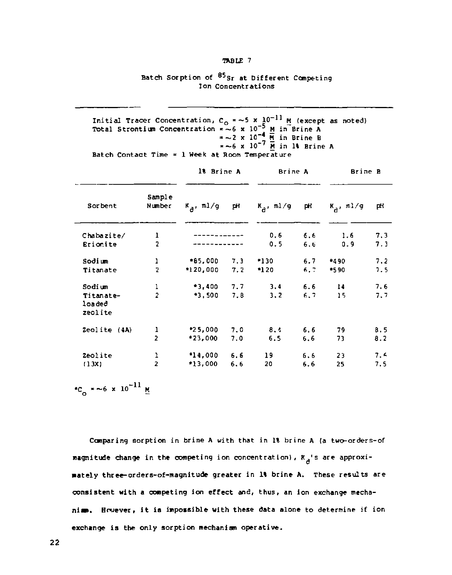#### TABLE 7

#### Batch Sorption of <sup>85</sup>Sr at Different Competing Ion Concentrations

Initial Tracer Concentration, C<sub>O</sub> = ~5 x 10<sup>-11</sup> M (except as noted)<br>Total Strontium Concentration = ~6 x 10<sup>-5</sup> M in Brine A<br>= ~2 x 10<sup>-4</sup> M in Brine B<br>= ~6 x 10<sup>-7</sup> M in 10 Brine A Batch Contact Time =  $1$  Week at Room Temperature

|                                |                  | 18 Brine A   |     | Brine A      |     | Brine B      |     |
|--------------------------------|------------------|--------------|-----|--------------|-----|--------------|-----|
| Sor bent                       | Sample<br>Number | $K_A$ , ml/g | pH  | $K_a$ , ml/g | рH  | $K_A$ , ml/g | pН  |
| Chabazite/                     | ı                |              |     | 0.6          | 6.6 | 1.6          | 7.3 |
| Erionite                       | $\overline{2}$   |              |     | 0.5          | 6,6 | 0.9          | 7.3 |
| Sodium                         | 1                | *65,000      | 7.3 | $*130$       | 6.7 | *490         | 7.2 |
| Titanate                       | $\overline{2}$   | 120,000      | 7.2 | $-120$       | 6.7 | *590         | 7.5 |
| Sodi un                        | ı                | $*3,400$     | 7.7 | 3.4          | 6.6 | 14           | 7.6 |
| Titanate-<br>loaded<br>zeolite | $\overline{2}$   | *3.500       | 7.8 | 3.2          | 6.7 | 15           | 7.7 |
| Zeolite (4A)                   |                  | $*25,000$    | 7.0 | 8.4          | 6.6 | 79           | 8.5 |
|                                | $\frac{1}{2}$    | $*23,000$    | 7.0 | 6.5          | 6,6 | 73           | 8.2 |
| Zeolite                        | 1                | *14,000      | 6.6 | 19           | 6.6 | 23           | 7.4 |
| (13X)                          | $\overline{a}$   | *13,000      | 6.6 | 20           | 6.6 | 25           | 7.5 |

 ${}^{\star}C_{0}$  = ~6 x 10<sup>-11</sup> M

Comparing sorption in brine A with that in 1% brine A (a two-orders-of magnitude change in the competing ion concentration),  $R_A$ 's are approxi**d**  mately three-orders-of-magnitude greater in 1% brine A. These results are consistent with a competing ion effect and, thus, an ion exchange mechanimm. Hruever, it is impossible with these data alone to determine if ion exchange is the only sorption mechanism operative.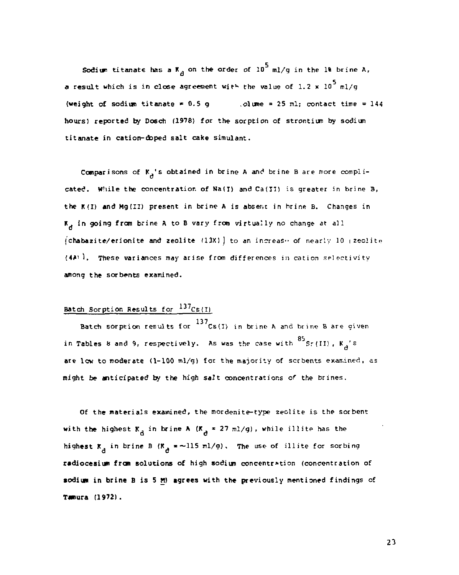Sodium titanate has a  $\bar{x}_a$  on the order of 10<sup>5</sup> ml/g in the 1% brine A, a result which is in close agreement with the value of 1.2 x  $10^5$  ml/g (weight of sodium titanate  $\neq$  0.5 g ... olume = 25 ml; contact time = 144 hours) reported by Dosch (1978) for the sorption of strontium by sodium titanate in cation-doped salt cake simulant.

Comparisons of  $K_A$ 's obtained in brine A and brine B are more complicated. While the concentration of Na(I) and Ca(II) is greater in brine B, the K(I) **and** Mg(II) present in brine A is absent in brine B. Changes in  $\overline{x}_A$  in going from brine A to B vary from virtually no change at all  ${chabazite/erionite}$  and zeolite (13X) ] to an increase of nearly 10  $\mu$ zeolite MA' 1. These variances may arise from differences in cation selectivity among the sorbents examined.

#### Batch Sorption Results for <sup>137</sup>Cs(I)

Batch sorption results for  $^{137}$ Cs(I) in brine A and brine B are given in Tables 8 and 9, respectively. As was the case with <sup>85</sup> Sr(II), K<sub>3</sub>'s are lew to moderate (1-100 ml/g) for the majority of scrbents examined, as might be anticipated by the high salt concentrations of the brines.

Of **the** materials examined, the mordenite-type zeolite is the sorbent with the highest K<sub>d</sub> in brine A (K<sub>d</sub> = 27 ml/g), while illite has the highest  $\kappa_{\rm d}$  in brine B (K<sub>d</sub> = ~115 ml/g). The use of illite for sorbing **radiocesium from** solutions of high sodium concentration (concentration of **sodiun in brine B is 5 H) agrees** with the previously mentioned findings of **T«nura (1972) .**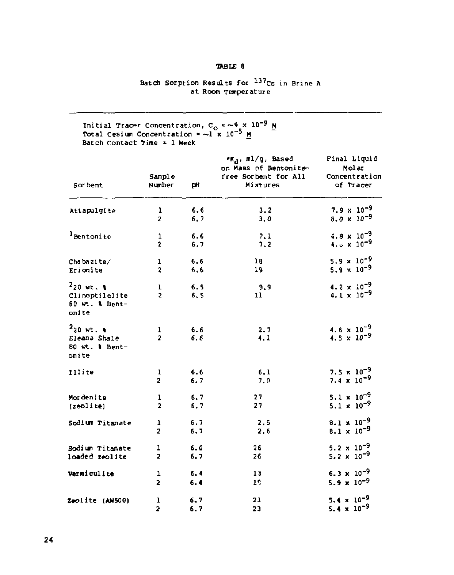### **TABLE 6**

# **Batch Sorption Results for <sup>137</sup> c s in Brine A at Room Temperature**

**Initia l Tracer Concentration, C <sup>0</sup> =~ 9 x 10"<sup>9</sup> M Total Cesiun Concentration \* — 1 x 10"^ M Batch Contact Time \* 1 Week** 

|                                                                    | Sample                  |            | *Ka, ml/g, Based<br>on Mass of Bentonite-<br>free Sorbent for All | Final Liquid<br>Molar                                 |  |
|--------------------------------------------------------------------|-------------------------|------------|-------------------------------------------------------------------|-------------------------------------------------------|--|
| Sor bent                                                           | Number                  | pH         | Mixtures                                                          | Concentration<br>of Tracer                            |  |
| Attapulgite                                                        | ı                       | 6.6        | 3, 2                                                              | $7.9 \times 10^{-9}$                                  |  |
|                                                                    | $\overline{\mathbf{z}}$ | 6,7        | 3.0                                                               | 8.0 $\times 10^{-9}$                                  |  |
| <sup>1</sup> Bentonite                                             | 1                       | 6.6        | 7.1                                                               | $4.8 \times 10^{-9}$                                  |  |
|                                                                    | $\overline{2}$          | 6.7        | 7.2                                                               | 4. $0 \times 10^{-9}$                                 |  |
| Chabazite/                                                         | ı                       | 6.6        | 18                                                                | $5.9 \times 10^{-9}$                                  |  |
| Erionite                                                           | $\overline{a}$          | 6.6        | 19                                                                | $5.9 \times 10^{-9}$                                  |  |
| $220$ wt. $\ell$<br>Clinoptilolite<br>80 wt. & Bent-<br>onite      | ı<br>$\overline{2}$     | 6.5<br>6.5 | -9.9<br>11                                                        | $4.2 \times 10^{-9}$<br>$4.1 \times 10^{-9}$          |  |
| $220$ wt. $\frac{1}{2}$<br>Eleana Shale<br>80 wt. 1 Bent-<br>onite | 1<br>$\overline{a}$     | 6.6<br>6.6 | 2.7<br>4.1                                                        | $4.6 \times 10^{-9}$<br>4.5 $\times$ 10 <sup>-9</sup> |  |
| <b>Illite</b>                                                      | ı                       | 6.6        | 6.1                                                               | 7.5 $\times$ 10 <sup>-9</sup>                         |  |
|                                                                    | 2                       | 6.7        | 7.0                                                               | 7.4 $\times$ 10 <sup>-9</sup>                         |  |
| Mordenite                                                          | ı                       | 6.7        | 27                                                                | $5.1 \times 10^{-9}$                                  |  |
| (zeolite)                                                          | $\overline{2}$          | 5.7        | 27                                                                | 5.1 $\times$ 10 <sup>-9</sup>                         |  |
| Sodium Titanate                                                    | ı                       | 6.7        | 2.5                                                               | $8.1 \times 10^{-9}$                                  |  |
|                                                                    | $\overline{2}$          | 6.7        | 2,6                                                               | $8.1 \times 10^{-9}$                                  |  |
| Sodium Titanate                                                    | ı                       | 6.6        | 26                                                                | 5.2 $\times$ 10 <sup>-9</sup>                         |  |
| loaded zeolite                                                     | $\overline{\mathbf{z}}$ | 6.7        | 26                                                                | 5.2 $\times$ 10 <sup>-9</sup>                         |  |
| Vermiculite                                                        | ı                       | 6.4        | 13                                                                | $6.3 \times 10^{-9}$                                  |  |
|                                                                    | 2                       | 6.4        | 16                                                                | $5.9 \times 10^{-9}$                                  |  |
| Zeolite (AW500)                                                    | 1                       | 6.7        | 23                                                                | 5.4 x $10^{-9}$                                       |  |
|                                                                    | $\overline{\mathbf{2}}$ | 6.7        | 23                                                                | 5.4 $\times$ 10 <sup>-9</sup>                         |  |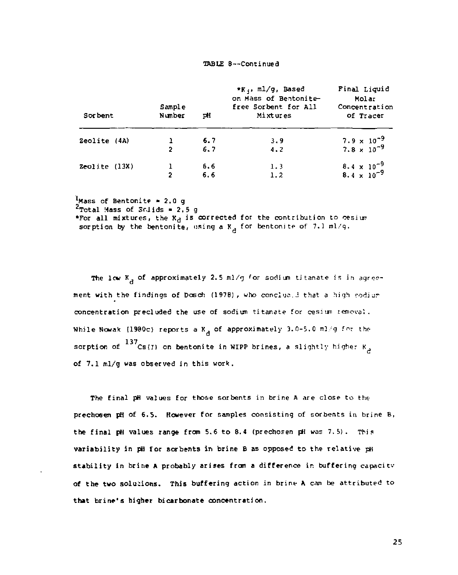#### TABLE 8—Continued

| Sor bent          | Sample<br>Number | pH  | *K., ml/g, Based<br>on Mass of Bentonite<br>free Sorbent for All<br>Mixtures | Final Liquid<br>Molar<br>Concentration<br>of Tracer |  |
|-------------------|------------------|-----|------------------------------------------------------------------------------|-----------------------------------------------------|--|
| Zeolite (4A)      |                  | 6.7 | 3.9                                                                          | $7.9 \times 10^{-9}$                                |  |
|                   | 2                | 6.7 | 4.2                                                                          | $7.8 \times 10^{-9}$                                |  |
| $Zeolite$ $(13X)$ |                  | 6.6 | 1.3                                                                          | $8.4 \times 10^{-9}$                                |  |
|                   | 2                | 6.6 | 1.2                                                                          | 8.4 x $10^{-9}$                                     |  |

<sup>1</sup>Mass of Bentonite = 2.0 g<br><sup>2</sup>Total Mass of Srlids = 2.5 g

\*For all mixtures, the  $K_d$  is corrected for the contribution to cesium sorption by the bentonite, using a  $K_A$  for bentonite of 7.1 ml/g.

The low K, of approximately 2.5 ml/g for sodium titanate is in agreement with the findings of Dosch (1978), who conclue i that a high sodium concentration precluded the use of sodium titanate for cesium removal. While Nowak (1980c) reports a  $K_A$  of approximately 3.0-5.0 ml/g for the sorption of  $^{137}$ Cs(I) on bentonite in WIPP brines, a slightly higher K<sub>2</sub> c of 7.1 ml/g was observed in this work.

The final pH values for those sorbents in brine A are close to the prechoeen pH of 6.5. However for samples consisting of sorbents in brine B, the final pH values range from 5.6 to 8.4 (prechosen pH was 7.5). This variability in pH for sorbents in brine 8 as opposed to the relative pH stability in brine A probably arises from a difference in buffering capacitv of **the** two solutions. This buffering action in brine A can be attributed to **that** brine's higher bicarbonate concentration.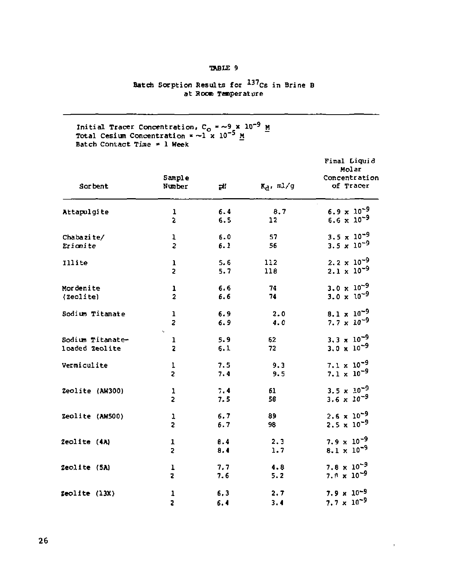### TABLE 9

# Batch Sorption Results for <sup>137</sup>Cs in Brine B<br>at Room Temperature

Initial Tracer Concentration,  $C_0 = -9 \times 1$ <br>Total Cesium Concentration = ~1 x 10<sup>-5</sup> M<br>Batch Contact Time = 1 Week 9 x 10<sup>-9</sup> M<br>-5 м

|                  |                  |     |                | Final Liquid<br>Molar         |  |
|------------------|------------------|-----|----------------|-------------------------------|--|
| Sor bent         | Sample<br>Number | тH  | $R_A$ , $m1/g$ | Concentration<br>of Tracer    |  |
| Attapulgite      | 1                | 6.4 | 8.7            | 6.9 x $10^{-9}$               |  |
|                  | 5                | 6.5 | 12             | $6.6 \times 10^{-9}$          |  |
| Chabazite/       | 1                | 6.0 | 57             | $3.5 \times 10^{-9}$          |  |
| Erionite         | $\overline{z}$   | 6.1 | 56             | $3.5 \times 10^{-9}$          |  |
| Illite           | ı                | 5.6 | 112            | $2.2 \times 10^{-9}$          |  |
|                  | 2                | 5.7 | 118            | $2.1 \times 10^{-9}$          |  |
| Mordenite        | ı                | 6.6 | 74             | $3.0 \times 10^{-9}$          |  |
| (Zeolite)        | $\overline{2}$   | 6.6 | 74             | 3.0 x $10^{-9}$               |  |
| Sodium Titanate  | ı                | 6.9 | 2.0            | $8.1 \times 10^{-9}$          |  |
|                  | $\overline{z}$   | 6.9 | 4.0            | 7.7 $\times$ 10 <sup>-9</sup> |  |
| Sodium Titanate- | k,<br>ı          | 5.9 | 62             | $3.3 \times 10^{-9}$          |  |
| loaded Zeolite   | z                | 6.1 | 72             | $3.0 \times 10^{-9}$          |  |
| Vermiculite      | 1                | 7.5 | 9.3            | $7.1 \times 10^{-9}$          |  |
|                  | $\overline{2}$   | 7.4 | 9.5            | 7.1 $\times$ 10 <sup>-9</sup> |  |
| Zeolite (AW300)  | 1                | 7.4 | 61             | $3.5 \times 10^{-9}$          |  |
|                  | $\overline{a}$   | 7.5 | 58             | 3.6 $\times$ 10 <sup>-9</sup> |  |
| Zeolite (AW500)  | ı                | 6.7 | 89             | $2.6 \times 10^{-9}$          |  |
|                  | $\overline{2}$   | 6.7 | 98             | $2.5 \times 10^{-9}$          |  |
| Zeolite (4A)     | ī                | 0.4 | 2.3            | $7.9 \times 10^{-9}$          |  |
|                  | $\overline{a}$   | 8.4 | 1.7            | $8.1 \times 10^{-9}$          |  |
| Zeolite (SA)     | ı                | 7.7 | 4.8            | $7.8 \times 10^{-9}$          |  |
|                  | z                | 7.6 | 5.2            | $7.9 \times 10^{-9}$          |  |
| Zeolite (13X)    | 1                | 6,3 | 2.7            | $7.9 \times 10^{-9}$          |  |
|                  | 2                | 6.4 | 3.4            | $7.7 \times 10^{-9}$          |  |

 $\bar{t}$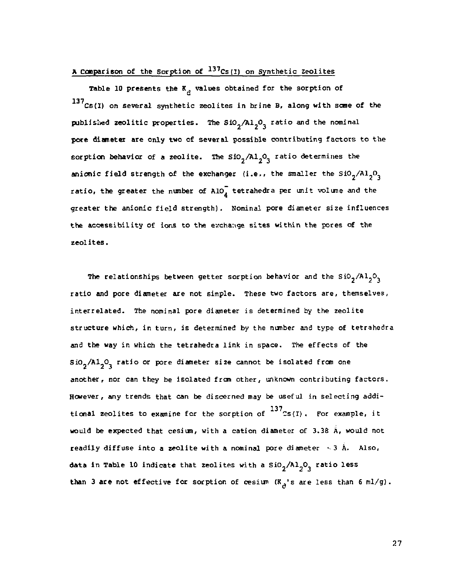#### A Comparison of the Sorption of <sup>137</sup>Cs{I} on Synthetic Zeolites

Table 10 presents the  $K_A$  values obtained for the sorption of  $137$ Cs(I) on several synthetic zeolites in brine B, along with some of the published zeolitic properties. The SiO<sub>2</sub>/Al<sub>2</sub>O<sub>3</sub> ratio and the nominal pore diameter are only two of several possible contributing factors to the sorption behavior of a zeolite. The  $SiO_2/Al_2O_3$  ratio determines the anionic field strength of the exchanger (i.e., the smaller the  $\text{SiO}_2/\text{Al}_2\text{O}_3$ ratio, the greater the number of A10, tetrahedra per unit volume and the greater the anionic field strength). Nominal pore diameter size influences the accessibility of ions to the exchange sites within the pores of the zeolites.

The relationships between getter sorption behavior and the  $SiO_2/A1_2O_3$ ratio and pore diameter are not simple. These two factors are, themselves, interrelated. The nominal pore diameter is determined by the zeolite structure which, in turn, is determined by the number and type of tetrahecra and the way in which the tetrahedra link in space. The effects of the  $\text{SiO}_2/\text{Al}_2\text{O}_2$  ratio or pore diameter size cannot be isolated from one another, nor can they be isolated from other, unknown contributing factors. However, any trends that can be discerned may be useful in selecting additional zeolites to examine for the sorption of  $^{137}$ Cs(I). For example, it would be expected that cesium, with a cation diameter of 3.38  $\hat{A}$ , would not readily diffuse into a zeolite with a nominal pore diameter  $\sim$  3 A. Also, data in Table 10 indicate that zeolites with a  $SiO_2/Al_2O_3$  ratio less than 3 are not effective for sorption of cesium  $(K_A)$ 's are less than 6 ml/g).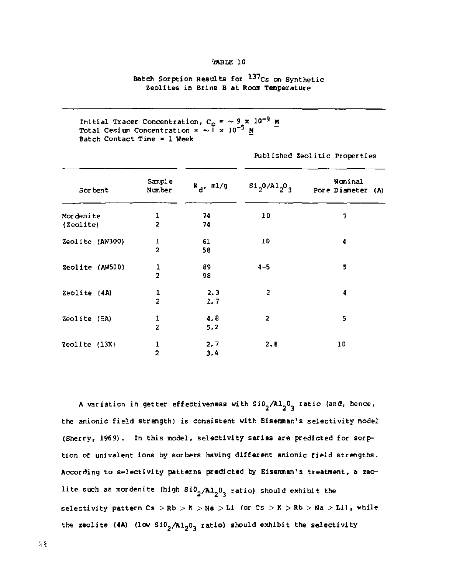#### SARLE 10

# Batch Sorption Results for <sup>137</sup>Cs on Synthetic<br>Zeolites in Brine B at Room Temperature

Initial Tracer Concentration, C<sub>O</sub> = ~ 9 x 10<sup>-9</sup> M<br>Total Cesium Concentration = ~1 x 10<sup>-5</sup> M Batch Contact Time  $x = 1$  Week

| Sor bent        | Sample<br>Number        | $K_d$ , ml/g | $s_{12}0/A1_{2}0_{3}$   | Nominal<br>Pore Diameter<br>(A) |
|-----------------|-------------------------|--------------|-------------------------|---------------------------------|
| Mordenite       | ı                       | 74           | 10                      | 7                               |
| (2eolite)       | $\overline{\mathbf{2}}$ | 74           |                         |                                 |
| Zeolite (AW300) | ı                       | 61           | 10                      | 4                               |
|                 | $\overline{a}$          | 58           |                         |                                 |
| Zeolite (AW500) | ı                       | 89           | $4 - 5$                 | 5                               |
|                 | $\overline{a}$          | 98           |                         |                                 |
| Zeolite (4A)    | $\frac{1}{2}$           | 2.3          | 2                       | 4                               |
|                 |                         | 1.7          |                         |                                 |
| Zeolite (5A)    | 1                       | 4.8          | $\overline{\mathbf{2}}$ | 5                               |
|                 | $\overline{a}$          | 5.2          |                         |                                 |
| Zeolite $(13X)$ | ı                       | 2.7          | 2.8                     | 10                              |
|                 | $\overline{a}$          | 3.4          |                         |                                 |

Published Zeolitic Properties

A variation in getter effectiveness with  $Si0<sub>2</sub>/Al<sub>2</sub>0<sub>2</sub>$  ratio (and, hence, the anionic field strength) is consistent with Eisenman's selectivity model (Sherry, 1969). In this model, selectivity series are predicted for sorption of univalent ions by sorbers having different anionic field strengths. According to selectivity patterns predicted by Eisenman's treatment, a zeolite such as mordenite (high  $Si_2/Al_2O_2$  ratio) should exhibit the selectivity pattern  $Cs > Rb > K > Na > L1$  (or  $Cs > K > Rb > Na > L1$ ), while the zeolite (4A) (low SiO<sub>2</sub>/Al<sub>2</sub>O<sub>3</sub> ratio) should exhibit the selectivity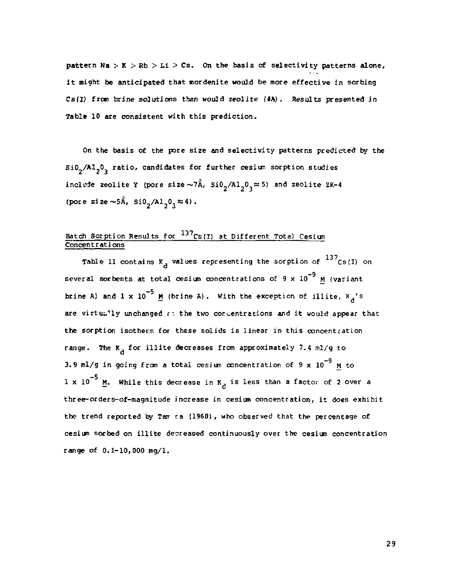pattern  $Na > K > Rb > Li > Cs$ . On the basis of selectivity patterns alone, it might be anticipated that mordenite would be more effective in sorbing Cs{I) from brine solutions than would zeolite (4A) . Results presented in Table 10 are consistent with this prediction.

On the basis of the pore size and selectivity patterns predicted by the Si0<sub>2</sub>/Al<sub>3</sub>0<sub>2</sub> ratio, candidates for further cesium sorption studies include zeolite Y (pore size  $\sim 7$ Å, Si0<sub>2</sub>/Al<sub>2</sub>0<sub>2</sub>  $\approx$  5) and zeolite ZK-4 (pore size  $\sim 5$  Å, Si0<sub>2</sub>/Al<sub>1</sub>0<sub>2</sub>  $\approx 4$ ).

# Batch Sorption Results for  $\frac{137}{125}$  (I) at Different Total Cesium<br>Concentrations

Table 11 contains K<sub>A</sub> values representing the sorption of  $^{137}$ Cs(I) on several sorbents at total cesium concentrations of  $9 \times 10^{-9}$  M (variant brine A) and 1 x 10<sup>-5</sup> M {brine A}. With the exception of illite,  $K_A$ 's are virtually unchanged  $\epsilon$ : the two concentrations and it would appear that the sorption isotherm for these solids is linear in this concentration range. The  $R_A$  for illite decreases from approximately 7.4 ml/g to 3.9 ml/g in going from a total cesium concentration of 9 x  $10^{-9}$  M to  $1 \times 10^{-3}$  M. While this decrease in K<sub>d</sub> is less than a factor of 2 over a three-orders-of-magnitude increase in cesium concentration, it does exhibit the trend reported by Tam ra (1960), who observed that the percentage of cesium sorbed on illite decreased continuously over the cesium concentration range of 0.1-10,000 mg/1.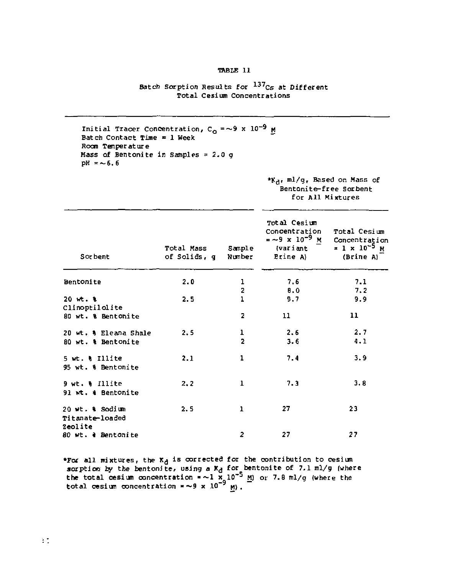#### TABLE 11

#### Batch Sorption Results for <sup>137</sup>Cs at Different Total Cesium Concentrations

```
Initial Tracer Concentration, C<sub>o</sub> =∼9<br>Batch Contact Time = 1 Week
Room Temperature 
Mass of Bentonite in Samples = 2.0 g
pH = -6.6
```
#### \*Kd, ml/g, Based on Mass of Bentonite-free Sorbent for All Mixtures

| Sor bent                                            | Total Mass<br>of Solids, q | Sample<br>Number    | Total Cesium<br>Concentration<br>= ~9 х 10 <sup>-9</sup> м<br>(variant<br>Etine A) | Total Cesium<br>Concentration<br>$= 1 \times 10^{-5}$ M<br>(Brine A) |
|-----------------------------------------------------|----------------------------|---------------------|------------------------------------------------------------------------------------|----------------------------------------------------------------------|
| Bentonite                                           | 2.0                        | ı                   | 7.6                                                                                | 7.1                                                                  |
| $20$ $wt$ . $x$<br>Clinoptilolite                   | 2.5                        | 2<br>ı              | 8.0<br>9.7                                                                         | 7.2<br>9.9                                                           |
| 80 wt. & Bentonite                                  |                            | 2                   | 11                                                                                 | 11                                                                   |
| 20 wt. & Eleana Shale<br>80 wt. & Bentonite         | 2.5                        | ı<br>$\overline{2}$ | 2.6<br>3.6                                                                         | 2.7<br>4.1                                                           |
| 5 wt. & Illite<br>95 wt. & Bentonite                | 2.1                        | ı                   | 7.4                                                                                | 3.9                                                                  |
| $9$ wt. $\frac{1}{11}$ illite<br>91 wt. & Bentonite | 2, 2                       | 1                   | 7.3                                                                                | 3.8                                                                  |
| 20 wt. & Sodium<br>Titanate-loaded<br>Zeolite       | 2.5                        | 1                   | 27                                                                                 | 23                                                                   |
| 80 wt. a Bentonite                                  |                            | $\overline{a}$      | 27                                                                                 | 27                                                                   |

**\*For all mixtures, the**  $X_d$  **is corrected for the contribution to cesium**<br>sorption by the bentonite, using a  $X_d$  for bentonite of 7.1 ml/g (where<br>the total cesium concentration  $x \sim 1 \times 10^{-5}$  M) or 7.8 ml/g (where the<br>t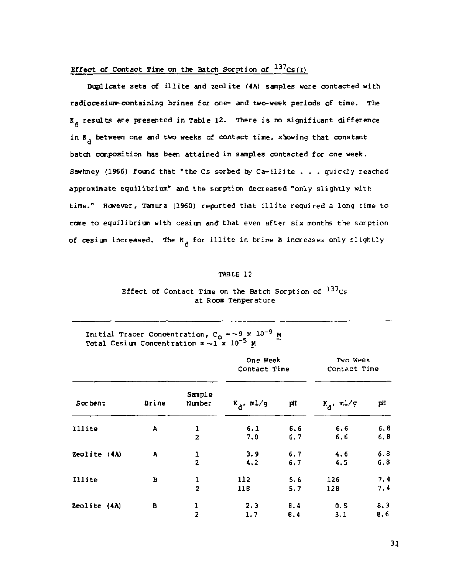#### Effect of Contact Time on the Batch Sorption of <sup>137</sup>Cs{I}

Duplicate sets of illite and zeolite (4A) samples were contacted with radiocesium-containing brines for one- and two-week periods of time. The K results are presented in Table 12. There is no significant difference in K, between one and two weeks of contact time, showing that constant batch composition has been attained in samples contacted for one week. Sawhney (1966) found that "the Cs sorbed by Ca-illite  $\ldots$  quickly reached approximate equilibrium" and the sorption decreased "only slightly with time." However, Tamura (1960) reported that illite required a long time to come to equilibrium with cesium and that even after six months the sorption of cesium increased. The  $K_A$  for illite in brine B increases only slightly

#### TABLE 12

#### Effect of Contact Time on the Batch Sorption of  $137c$ at Room Temperature

|  | Initial Tracer Concentration, $C_0 = \sim 9 \times 10^{-9}$ M |  |  |
|--|---------------------------------------------------------------|--|--|
|  | Total Cesium Concentration $x \sim 1$ x 10 <sup>-5</sup> M    |  |  |

|              |       |                     | One Week<br>Contact Time |            | Two Week<br>Contact Time |             |
|--------------|-------|---------------------|--------------------------|------------|--------------------------|-------------|
| Sor bent     | Brine | Sample<br>Number    | $K_A$ , ml/g             | pΗ         | $K_A$ , ml/g             | рH          |
| Illite       | A     | 1<br>$\overline{2}$ | 6.1<br>7.0               | 6.6<br>6.7 | 6.6<br>6.6               | 6.8<br>6.8  |
| Zeolite (4A) | A     | 1<br>$\overline{a}$ | 3.9<br>4.2               | 6.7<br>6.7 | 4.6<br>4.5               | 6.8<br>6,8  |
| Illite       | в     | ı<br>$\overline{2}$ | 112<br>11B               | 5.6<br>5.7 | 126<br>128               | 7.4<br>7.4  |
| Zeolite (4A) | в     | 1<br>$\overline{2}$ | 2.3<br>1,7               | B.4<br>B.4 | 0.5<br>3.1               | 8, 3<br>B.6 |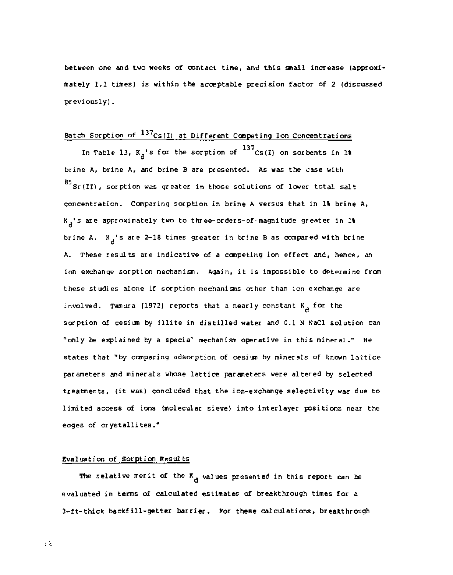between one and two weeks of contact time, and this small increase (approximately 1.1 times) is within the acceptable precision factor of 2 (discussed previously).

#### Batch Sorption of <sup>137</sup>Cs(I) at Different Competing Ion Concentrations

In Table 13,  $K_A^{-1}$ s for the sorption of  $137$ Cs(I) on sorbents in 1% brine A, brine A, and brine B are presented. As was the case with  $85$  Sr(II), sorption was greater in those solutions of lower total salt concentration. Comparing sorption in brine A versus that in 1% brine A. K $_{\rm d}$ 's are approximately two to three-orders-of-magnitude greater in 1% brine A.  $K_A$ 's are 2-18 times greater in brine B as compared with brine A. These results are indicative of a competing ion effect and, hence, an ion exchange sorption mechanism. Again, it is impossible to determine from these studies alone if sorption mechanisms other than ion exchange are involved. Tamura (1972) reports that a nearly constant K<sub>a</sub> for the sorption of cesium by illite in distilled water and 0.1 N NaCl solution can states that "by comparing adsorption of cesium by minerals of known lattice states that "by comparing adsorption of cesi an by minerals of known lattic e parameters and minerals whose lattic e parameters were altered by selected treatments. (it was) concluded that the ion-exchange selectivity was due to treatments, (it was) concluded that the ion-exchange selectivity was due to limited access of ions (molecular sieve) into interlayer positions near the edges of crystallites. "

#### Evaluation of Sorption Results

The relative merit of the  $K^A$  values presented in this report can be evaluated in terms of calculated estimates of breakthrough times for a 3-ft-thick backfill-getter barrier. For these calculations, breakthrough

iž.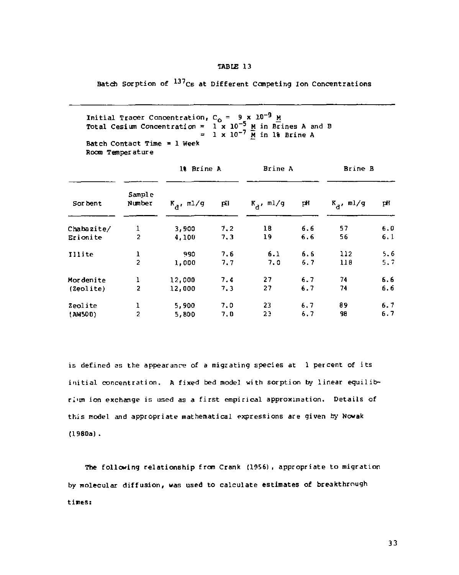#### TABIC 13

Batch Sorption of  $^{137}$ Cs at Different Competing Ion Concentrations

```
Initial Tracer Concentration, C<sub>o</sub> = 9 x 10<sup>-9</sup> <u>M</u><br>Total Cesium Concentration = 1 x 10<sup>-5</sup> <u>M</u> in 1% Brine A<br>= 1 x 10<sup>-7</sup> M in 1% Brine A
Batch Contact Time = 1 Week
Room Temperature
```

|            |                         | 18 Brine A   |     | Brine A      |     | Brine B      |     |
|------------|-------------------------|--------------|-----|--------------|-----|--------------|-----|
| Sor bent   | Sample<br>Number        | $K_a$ , ml/g | pii | $K_a$ , ml/g | pΗ  | $K_a$ , ml/g | pΗ  |
| Chabazite/ | 1                       | 3,900        | 7.2 | 18           | 6.6 | 57           | 6,0 |
| Erionite   | $\overline{c}$          | 4,100        | 7.3 | 19           | 6.6 | 56           | 6.1 |
| Illite     | $\frac{1}{2}$           | 990          | 7.6 | 6.1          | 6.6 | 112          | 5.6 |
|            |                         | 1.000        | 7.7 | 7.0          | 6.7 | 118          | 5.7 |
| Mordenite  | ı                       | 12,000       | 7.4 | 27           | 6.7 | 74           | 6.6 |
| (Zeolite)  | $\overline{\mathbf{c}}$ | 12,000       | 7.3 | 27           | 6.7 | 74           | 6.6 |
| Zeolite    | ı                       | 5,900        | 7.0 | 23           | 6.7 | 89           | 6.7 |
| (AW500)    | $\overline{a}$          | 5.800        | 7.0 | 23           | 6.7 | 98           | 6.7 |

is defined as the appearance of a migrating species at 1 percent of its initial concentration. A fixed bed model with sorption by linear equilibrium ion exchange is used as a first empirical approximation. Details of this model and appropriate mathematical expressions are given by Nowak (1980a).

The following relationship from Crank (1956), appropriate to migration by molecular diffusion, was used to calculate estimates of breakthrough tines: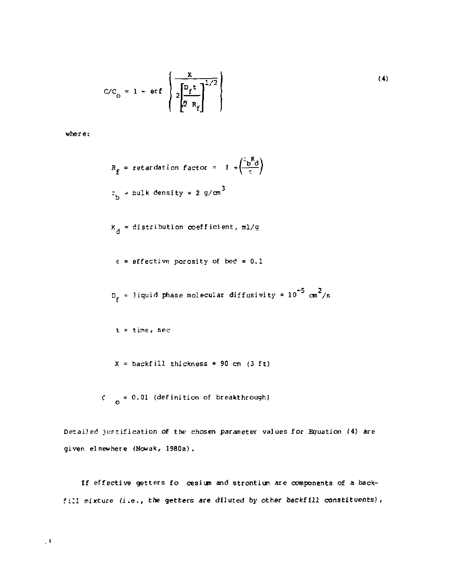$$
C/C_0 = 1 - erf \left\{ 2 \frac{\sum_{r=1}^{K} 1}{2 \left[ \frac{P_f t}{Z R_f} \right]^{1/2}} \right\}
$$
 (4)

where:

$$
R_{f} = \text{retardation factor} = 1 + \left(\frac{5}{e}\right)^{2}
$$
\n
$$
= \frac{1}{b} + \text{bulk density} = 2 \frac{q}{m^{3}}
$$
\n
$$
R_{d} = \text{distribution coefficient, m1/g}
$$
\n
$$
\epsilon = \text{effective porosity of bed} = 0.1
$$
\n
$$
D_{f} = \text{liquid phase molecular diffusivity} = 10^{-5} \text{ cm}^{2}/s
$$
\n
$$
t = \text{time, sec}
$$
\n
$$
X = \text{backfill thickness} = 90 \text{ cm (3 ft)}
$$

 $C = 0.01$  (definition of breakthrough)

Detailed justification of the chosen parameter values for Equation (4) are given elsewhere (Nowak, 1980a).

If effective getters fo cesium and strontium are components of a backfill mixture (i.e., the getters are diluted by other backfill constituents),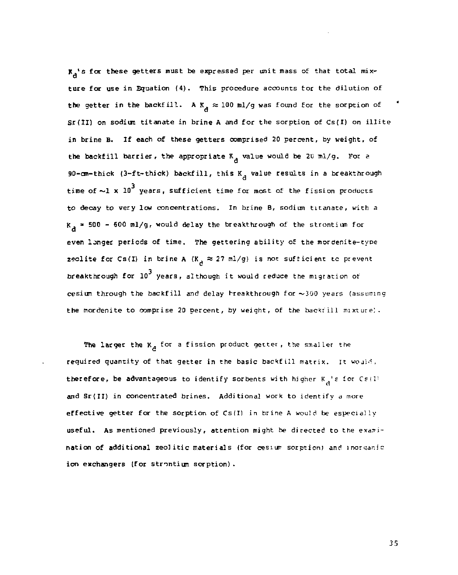**X<sub>d</sub>'s for these getters must be expressed per unit mass of that total mix**ture for use in Equation (4). This procedure accounts tor the dilution of the getter in the backfill. A K<sub>,</sub>  $\approx$  100 ml/g was found for the sorption of Sr(II) on sodium titanate in brine A and for the sorption of Cs(I) on illite in brine B. If each of these getters comprised 20 percent, by weight, of in brine B. If each of these getters comprised 20 percent, by weight, of the backfill barrier, the appropriate K value would be 2U ml/g. For a -<br>time of ~1 **x** 10<sup>3</sup> years, sufficient time for most of the fission products to decay to very low concentrations. In brine B, sodium titanate, with a K. \* 500 - 600 ml/g<sup>r</sup> would delay the breakthrough of the strontium for *a*  even longer periods of time. The gettering ability of the mordenite-type zeolite for Cs(I) in brine A (K<sub>A</sub>  $\approx$  27 ml/g) is not sufficient to prevent breakthrough for  $10^3$  years, although it would reduce the migration of cesium through the backfill and delay breakthrough for  $\sim$  300 years (assuming the mordenite to comprise 20 percent, by weight, of the backfill mixture;.

The larger the  $K_A$  for a fission product getter, the smaller the required quantity of that getter in the basic backfill matrix. It would, therefore, be advantageous to identify sorbents with higher  $K_A$ 's for Cs(I)  $\overline{a}$  in concentration brings. Additional work to identify a more effective getter for the sorption of Cs(I) in brine A would be especially useful. As mentioned previously, attention might be directed to the examination of additional zeolitic materials (for cesium sorption) and inorganic ion exchangers (for strontium sorption).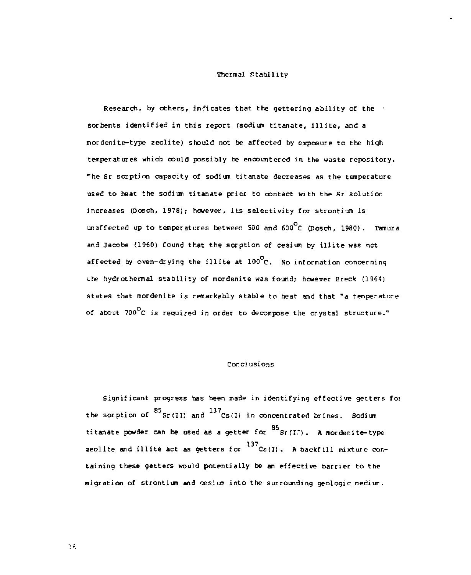#### Thermal Stability

Research, by others, indicates that the gettering ability of the sorbents identified in this report (sodium titanate, illite, and a mordenite-type zeolite) should not be affected by exposure to the high temperatures which could possibly be encountered in the waste repository, The Sr sorption capacity of sodium titanate decreases as the temperature used to heat the sodium titanate prior to contact with the Sr solution increases (Dosch, 1978); however, its selectivity for strontium is unaffected up to temperatures between 500 and 600°C (Dosch, 1980). Tamura and Jacobs (1960) found that the sorption of cesium by illite was not affected by oven-drying the illite at  $100^{\circ}$ C. No information concerning Lhe hydrothermal stability of mordenite was found; however Breck (1964) states that mordenite is remarkably stable to heat and that "a temperature of about  $700^{\circ}$ C is required in order to decompose the crystal structure."

#### Conclusions

Significant progress has been made in identifying effective getters foi the sorption of  $^{85}$  Sr(II) and  $^{137}$ Cs(I) in concentrated brines. Sodium titanate powder can be used as a getter for  $^{85}$  Sr(I.). A mordenite-type zeolite and illite act as getters for  $^{137}$ Cs(I). A backfill mixture containing these getters would potentially be an effective barrier to the migration of strontium and oesiwn into the surrounding geologic mediur.

ήš,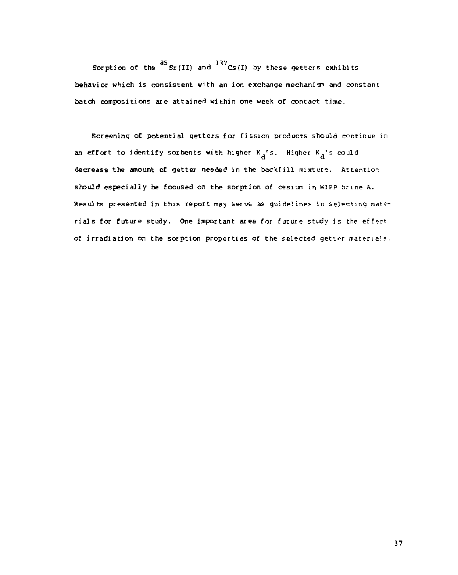Sorption of the  $^{85}$  Sr(II) and  $^{137}$ Cs(I) by these getters exhibits behavior which is consistent with an ion exchange mechanism and constant batch compositions are attained within one week of contact time.

Screening of potential getters for fission products should continue in an effort to identify sorbents with higher  $K_{\tilde{d}}$ 's. Higher  $K_{\tilde{d}}$ 's could decrease the amount of getter needed in the backfill mixture. Attention should especially be focused on the sorption of cesium in KIPp brine A. Hesolts presented in this report may serve as guidelines in selecting mate-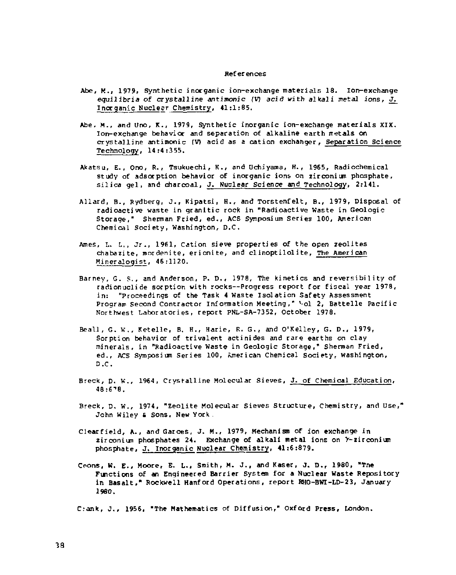#### References

- Abe, M., 1979, Synthetic inorganic ion-exchange materials 18. Ion-exchange equilibria of crystalline antimonic (V) acid with alkali metal ions, J. Inorganic Nuclesr Chemistry, 41:1:85.
- Abe, M., and Uno, K., 1979, Synthetic inorganic ion-exchange materials XIX. Ion-exchange behavior and separation of alkaline earth metals on crystalline antimonic (V) acid as a cation exchanger. Separation Science Technology, 14:4 :355.
- Akatsu, E., Ono, R., Tsukuechi, K., and Uchiyama, H., 1965, Radiochemical study of adsorption behavior of inorganic ions on zirconium phosphate, silica gel, and charcoal, J. Nuclear Science and Technology, 2:141.
- Allard, B., Rydberg, J., Kipatsi, H., and Torstenfelt, B., 1979, Disposal of radioactive waste in granitic rock in "Radioactive Waste in Geologic Storage," Sherman Fried, ed., ACS Symposium Series 100, American Chemical Society, Washington, D.C.
- Ames, L. L., Jr., 1961, Cation sieve properties of the open zeolites chabazite, mordenite, erionite , and clinoptilolite , The Amer i can Mineralogist, 46:1120.
- Barney, G. ?., and Anderson, P. D., 1978, The kinetics and reversibility of radionuclide sorption with rocks—Progress report for fiscal year 1978, in: "proceedings of the Task 4 Waste Isolation Safety Assessment Program Second Contractor Information Meeting," 'ol 2, Battelle Pacific Northwest Laboratories, report PNL-SA-7352, October 1978.
- Beall, G. K., Ketelle, B, H,, Harie, R. G., and O'Kelley, G. D., 1979, Sorption behavior of trivalent actinides and rare earths on clay minerals, in "Radioactive Waste in Geologic Storage," Sherman Fried, ed., ACS Symposium Series 100, American Chemical Society, Washington, **D.C.**
- Breck, D. W., 1964, Crystalline Molecular Sieves, J. of Chemical Education, 48:6", 8.
- Breck, D. W., 1974, "Zeolite Molecular Sieves Structure, Chemistry, and Use," John Wiley & Sons, New York.
- Clearfield, A., and Garces, J. M., 1979, Mechanism of ion exchange in zirconium phosphates 24. Exchange of alkali metal ions on *Y*-zirconium phosphate, J. Inorganic Nuclear Chemistry, 41;6:879.
- Coons, W. E., Moore, E. L., Smith, M. J., and Kaser, J. D., 1980, "The Functions of an Engineered Barrier System for a Nuclear Waste Repository in Basalt," Rockwell Hanford Operations, report RHO-BWI-LD-23, January I960.

dank , J., 1956, "The Mathematics of Diffusion," Oxford Press, London.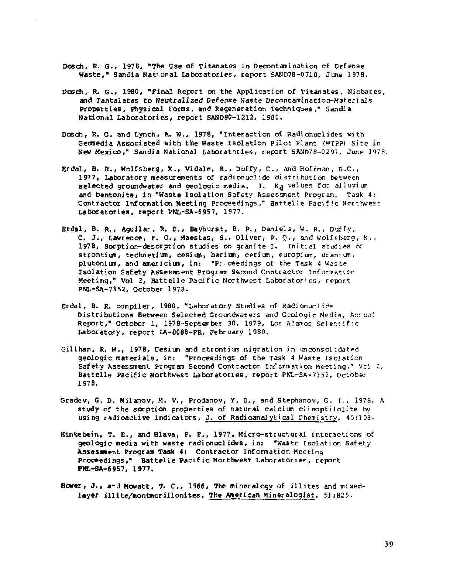- **Dosch, R.** *G.<sup>r</sup>*  **197B, "The Use of Titanates in Decontamination cf Defense Waste," Sandia National Laboratories, report SAND78-0710, June 1978.**
- **Dosch, R. G., 1980, "Final Report on the Application** of **Titanates,** Niobates, **and Tantalates t o Neutralized Defense Waste Decontamination-Materials Properties, Physical Forms, and Regeneration Techniques," Sandxa National Laboratories, report SAND80-1212, 1980.**
- Dosch, R. G. and Lynch, A. W., 1978, "Interaction of Radionuclides with Geomedia Associated with the Waste Isolation Pilot Plant (WIPP) Site in **New Mexico," Sandia National Laboratories, report** SAND78-0297, June 3978.
- **Erdal, B. R. <sup>f</sup> Wolfsberg, K. <sup>f</sup> Vidale , R.,** Duffy, C , «wid Hoffman, D.C , 1977, Laboratory measurements of radionuclide distribution between **selecte d groundwater and geologi c media. I. K^** values for alluvium and bentonite, in "Waste Isolation Safety Assessment Program. Task 4: Contractor Information Meeting Proceedings," Battelle Pacific Northwest **Laboratories, report PNL-SA-6957, 1977.**
- **Erdal, B. R., Aguilar, R. D,, Bayhurst, B. p. ,** Daniels, W, R. , Duffy, **C. J. , Lawrence, F. 0. , Maestas,** S., Oliver, P. £. , and wolf sberg , ft., 1978, Sorption-desorption studies on granite I. Initial studies of **strontium, technetium, cesium, barium, cerium,** europium, uranium, plutonium, and americium, in: "P: ceedings of the Task 4 Waste **Isolation Safety Assesment Program Second Contractor Information Meeting," Vol** *2,* **Battell e Pacifi c Northwest** Laboratories, report **PNL-SA-7352, October 1978.**
- **Erdal, B- R. compiler, 1980,** "Laboratory Studie s of Radionuclide Distributions Between Selected Groundwaters and Geologic Media, Anrual **Report," October** 1, **1978-September** 30, **1979,** Los Alamos Scientifi c **Laboratory, report LA-8088-PR, February 1980.**
- Gillham, R. W., 1978, Cesium and strontium migration in unconsolidated **geologic materials, in: "Proceedings of the Task 4 Waste Isolation Safety Assessment Program** Second Contractor information Meeting, " Vol 2, **Battell e Pacifi c Northwest Laboratories,** report PNL-SA-7352, October **1978.**
- **Gradev, G. D. Milanov, M. v. , Prodanov, y . D.** , and Stephanov, G. **r.** , 1978, A study of the sorption properties of natural calcium clinoptilolite by **using radioactive indicators, J. of Radioanalytical Chemistry, 45:103.**
- **Hinkebein, T. E. , and Blava, P. F., 1977,** Micro-structura l interaction s of **geologi c redi a with waste radionuclides, in: "Waste** Isolatio n Safety **Assessment Program Task 4: Contractor Information Meeting Proceedings," Battell e Pacifi c Northwest Laboratories, report PNL-SA-6957, 1977.**
- **Hover, J. , a-d Movatt, T. C , 1966, The mineralogy of illite s and mixedlayer illite/raonfanorillonites. The American Mineralogist,** 51:825.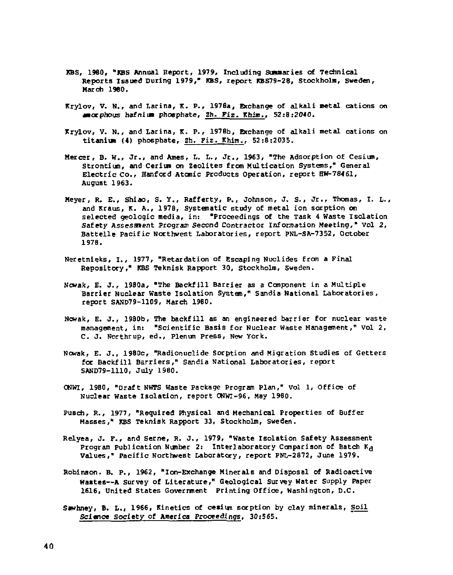- KBS, 1960, "KBS Annual Report, 1979, Including Summaries of Technical Reports Issued During 1979," KBS, report KBS79-28, Stockholm, Sweden, March I960.
- Krylov, V. N., and Larina, K. P., 1976a, Exchange of alkali metal cations on amorphous hafniun phosphate, Zh. Fiz. Khia., 52:8:2040.
- Krylov, V. N., and Larina, K. P., 1976b, Exchange of alkali metal cations on titanium (4) phosphate, Zh. Fiz. Khim., 52:8:2035.
- Mercer, B. W., Jr., and Ames, L. L., Jr., 1963, "The Adsorption of Cesium, Strontium, and Cerium on Zeolites from Multication Systems," General Electric Co., Hanford Atomic Products Operation, report HW-78461, August 1963.
- Meyer, R. E,, Shiao, S. ¥. , Rafferty, P., Johnson, J. s., Jr. , Thomas, I. L., and Kraus, K. A., 1978, Systematic study of metal ion sorption on selected geologic media, in: "Proceedings of the Task 4 Waste isolation Safety Assessment Program Second Contractor Information Meeting," vol 2, Battelle Pacific Northwest Laboratories, report PNL-SA-7352, October 1976.
- Neretnieks, I., 1977, "Retardation of Escaping Nuclides from a Final Repository," KBS Teknisk Rapport 30, Stockholm, Sweden.
- Nowak, E. J. , 1980a, "The Backfill Barrier as a Component in a Multiple Barrier Nuclear Waste Isolation System," Sandia National Laboratories, report SAND79-1109, March 19B0.
- Nowak, E. J., 1980b, The backfill as an engineered barrier for nuclear waste management, in: "Scientific Basis for Nuclear Waste Management," vol 2, C. J. Northrup, ed.. Plenum Press, New York.
- Ncwak, E. J. , 1980c, "Radionuclide Sorption and Migration Studies of Getters for Backfill Barriers," Sandia National Laboratories, report SAND79-1110, July I960.
- ONWI, I960, "Draft NWTS Waste Package Program Plan," vol 1, Office of Nuclear Waste Isolation, report ONWI-96, May 1980.
- Pusch, R., 1977, "Required Physical and Mechanical Properties of Buffer Masses," KBS Teknisk Rapport 33, Stockholm, Sweden.
- Relyea, J. F., and Serne, R. J., 1979, "Waste Isolation Safety Assessment Program Publication Number 2: Interlaboratory Comparison of Batch K^ Values," Pacific Northwest Laboratory, report PNL-2872, June 1979,
- Robinson^ B. p., 1962, "Ion-Exchange Minerals and Disposal of Radioactive Wastes—A Survey of Literature," Geological Survey Water Supply Paper 1616, United States Government Printing Office, Washington, D.C.
- Sawhney, B. L., 1966, Kinetics of cesium sorption by clay minerals. Soil Science Society of America Proceedings, 30:565.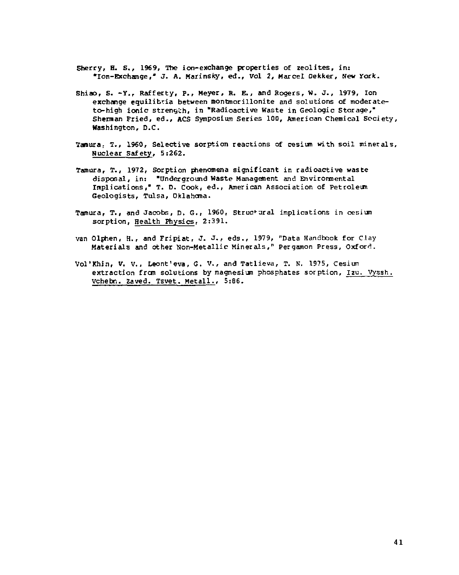- Sherry, H. S., 1969, The ion-exchange properties of zeolites, in: \*Ion-Exchange," J. A. Marinsky, ed., Vol 2, Marcel Dekker, New York.
- Shiao, S. -y. <sup>r</sup> Rafferty, P., Meyer, R. E. , and Rogers, w. j. , 1979, Ion exchange equilibria between montmorillonite and solutions of moderateto-high ionic strength, in "Radioactive Waste in Geologic Storage," Sherman Pried, ed., ACS Symposium Series 100, American Chemical Society, Washington, D.C.
- Tanura; T., 1960, Selective sorption reactions of cesium with soil minerals. Nuclear Safety, 5:262.
- Tamura, T., 1972, Sorption phenomena significant in radioactive waste disposal, in: "Underground Waste Management and Environmental Implications," T. D. Cook, ed., American Association of Petroleum Geologists, Tulsa, Oklahoma.
- Tamura, T., and Jacobs, D. G., I960, structural implications in cesium sorption, Health Physics, 2:391.
- van Olphen, H., and Fripiat, J. J. , eds., 1979, "Data Handbook for Clay Materials and other Non-Metallic Minerals," Pergamon Press, Oxford.
- Vol'Khin, V. V., Leont'eva, G. V., and Tatlieva, T. N. 1975, Cesium extraction from solutions by magnesium phosphates sorption, l2u. Vyssh. Vchebn. 2aved. Tsvet. Metall., 5:B6.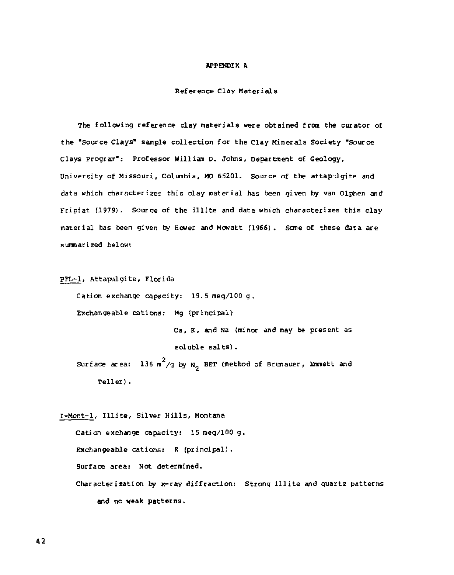#### APPENDIX A

#### Reference Clay Materials

The following reference clay materials were obtained from the curator of the "Source Clays" sample collection for the Clay Minerals Society "Source Clays Program": Professor William D. Johns, Department of Geology, University of Missouri, Columbia, MO 65201. Source of the attapelaite and data which characterizes this clay material has been given by van Olphen and Fripiat (1979). Source of the illite and data which characterizes this clay material has been given by Hower and Mowatt (1966). Some of these data are summarized below:

PFL-1, Attapulgite, Florida

Cation exchange capacity: 19.5 meg/100 g.

Exchangeable cations: Mg (principal)

Ca, K, and Na (minor and may be present as soluble salts). Surface area:  $136\ \text{m}^2/\text{g}$  by N, BET (method of Brunauer, Emmett and

Teller) .

I-Mont-1, Illite, Silver Hills, Montana

Cation exchange capacity: 15 meg/100 g. Exchangeable cations: K (principal). Surface area: Not determined. Characterization by x-ray diffraction: Strong illite and quartz patterns and no weak patterns.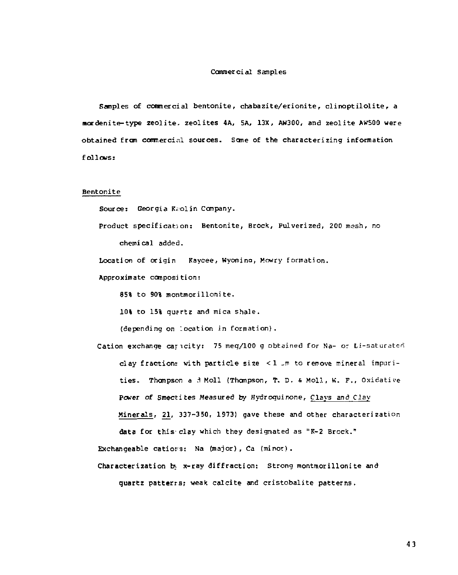#### Commercial Samples

Samples of commercial bentonite, chabazite/erionite, clinoptilolite, a mar den ite - type zeolite- zeolites 4A, 5A, 13X, AW300, and zeolite AW500 were obtained from commercial sources. Some of the characterizing information follows:

#### Bentonite

Source: Georgia Kaolin Company.

Product specification: Bentonite, Brock, Pulverized, 200 mesh, no chemical added.

Location of origin Kaycee, Wyomina, Mowry formation.

Approximate composition:

85% to 90% montmorillonite.

10% to 15% quartz and mica shale.

(depending on location in formation).

Cation exchange cajicity: 75 meg/100 g obtained for Na- or Li-saturated clay fractions with particle size  $\leq 1$  .m to remove mineral impurities. Thompson a 3 Moll (Thompson, T. D. & Moll, K. F., Oxidative Power of Smectites Measured by Hydroquinone, Clays *and Clay*  Minerals, 21, 337-350, 1973) gave these and other characterization data for this-clay which they designated as "K-2 Brock."

Exchangeable catiors: Na (major) , Ca (minor) .

Characterization b x-ray diffraction: Strong montmorillonite and

quartz patterrs? weak calcite and cristobalite patterns.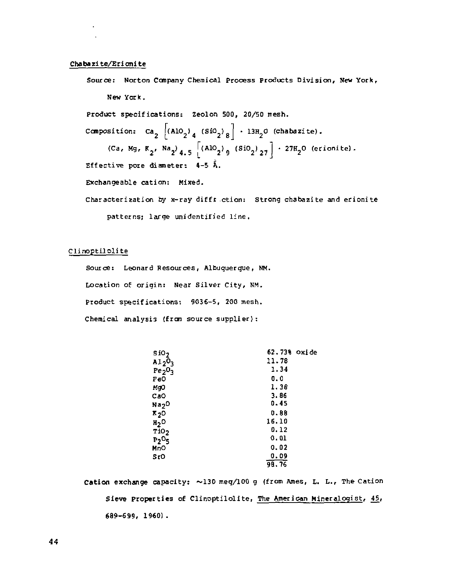#### Chabazite/Erionit e

Source: Norton Company Chemical Process Products Division, New York, New York. Product specifications: Zeolon 500, 20/50 mesh. Composition: Ca<sub>2</sub> |(AlO<sub>2</sub>)<sub>A</sub> (SiO<sub>2</sub>)<sub>R</sub>| · 13H<sub>2</sub>O (chabazite) (Ca, Mg, K<sub>2</sub>, Na<sub>2</sub>)<sub>4.5</sub>  $\left[ (AD_{2})_{9} (Si0_{2})_{27} \right] \cdot 27H_{2}O$  (erionite). Effective pore diameter:  $4-5$   $\hat{A}$ . Exchangeable cation: Mixed. Characterization by x-ray diffr ction: Strong chabazite and erionite patterns; large unidentified line.

#### Clinoptilolite

Source: Leonard Resources, Albuquerque, NM. Location of origin: Near Silver City, NM. Product specifications: 9036-S, 200 mesh. Chemical analysis (from source supplier):

| sio,                           | 62.73% Oxide |
|--------------------------------|--------------|
| $A12^0$                        | 11,78        |
| Fe <sub>2</sub> O <sub>3</sub> | 1.34         |
| Fe0                            | 0.0          |
| MgO                            | 1.38         |
| CaO                            | 3.86         |
| Na2 <sup>0</sup>               | 0.45         |
| R <sub>2</sub> 0               | 0.88         |
| $_{\rm H_2O}$                  | 16.10        |
| T <sub>102</sub>               | 0.12         |
| $P_2O_5$                       | <b>0.01</b>  |
| MnO                            | 0.02         |
| SrO                            | 0.09         |
|                                | 98.76        |

Cation exchange capacity:  $\sim$ 130 meg/100 g (from Ames, L. L., The Cation Sieve properties of Clinoptilolite, The American Mineralogist, 45, 689-699, 1960] .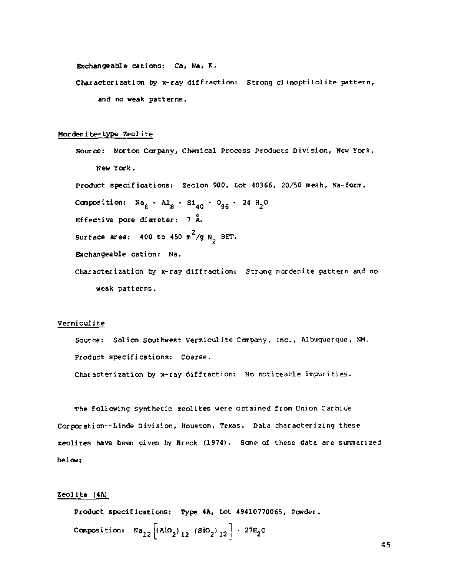Exchangeable cations: Ca, Na, K.

Characterization by x-ray diffraction; Strong clinoptilolite pattern, and no weak patterns.

#### Mordenite-type Zeolite

Source: Norton Company, Chemical Process Products Division, New York, New York. Product specifications: Zeolon 900, Lot 40366, 20/50 mesh, Na-form. Composition:  $Na_{\alpha}$  •  $Al_{\alpha}$  •  $Si_{A0}$  •  $O_{96}$  • 24  $H_{2}O$ Effective pore diameter:  $7\text{ Å}$ . surface area: 400 to 450 m<sup>2</sup>/g N<sub>2</sub> BET. Exchangeable cation: Na. Characterization by x-ray diffraction: Strong mordenite pattern and no weak patterns.

#### Vermiculite

Source: Solico Southwest Vermiculite Company, Inc., Albuquerque, KM. Product specifications: Coarse.

Characterization by x-ray diffraction: No noticeable impurities.

The following synthetic zeolites were obtained from Union Carbide Corporation—Linde Division, Houston, Texas. Data characterizing these zeolites have been given by Breck (1974). Seme of these data are summarized below:

#### Zeolite (4A)

Product specifications: Type 4A, Lot 49410770065, Powder. Composition:  $Na_{12}$   $\left[ (A10_2)_{12}$   $(Si0_2)_{12} \right]$  · 27H<sub>2</sub>O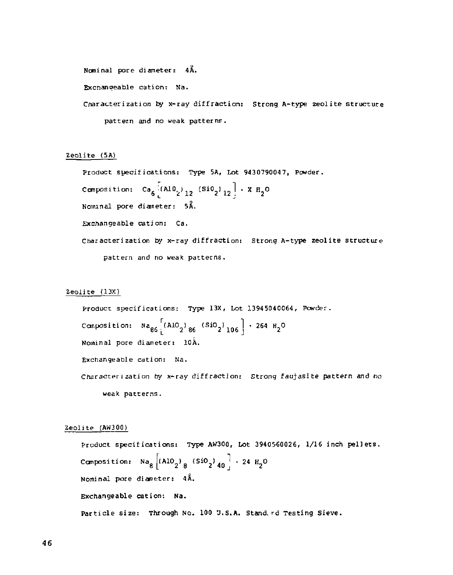```
Nominal pore diameter: 4A.
```
Exchanoeable cation: Na.

Characterization by x-ray diffraction: Strong A-type zeolite structure pattern and no weak pattern?.

#### Zeolite (5A)

Product specifications: Type 5A, Lot 9430790047, Powder.  $\texttt{Compostation:} \quad \texttt{Ca}_{6} \texttt{ (A1U}_{2} \texttt{)}_{12} \texttt{ (S1U}_{2} \texttt{)}_{12} \texttt{ | } \cdot \texttt{ X H}_{2}$ Nominal pore diameter: 5A. Exchangeable cation: Ca. Characterization by x-ray diffraction: Strong A-type zeolite structure pattern and no weak patterns.

#### Zeolite (13X)

Product specifications: Type 13X, Lot 13945040064, Powder. Composition:  $N a_{\alpha\beta}$  (AlO<sub>n</sub>)<sub>as</sub> (SiO<sub>n</sub>)<sub>106</sub> + 264 H<sub>2</sub>O Nominal pore diameter: 10A. Exchangeable cation: Na. Characterization by x-ray diffraction: Strong faujasite pattern and no weak patterns.

#### Zeolite (AW300)

Product specifications: Type AW300, Lot 3940560026, 1/16 inch pellets. Composition: Na<sub>8</sub>  $\vert$ (AlO<sub>2</sub>) <sub>A</sub> (SiO<sub>2</sub>) <sub>40</sub>  $\vert$  · 24 H<sub>2</sub> Nominal pore diameter: 4A. Exchangeable cation: Na. Particle size: Through No. 100 U.S.A. Stand, rd Testing Sieve.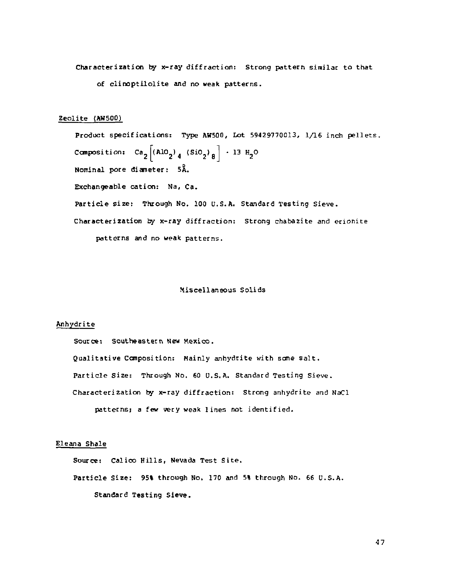Characterization by x-ray diffraction: Strong pattern similar to that of clinoptilolite and no weak patterns.

#### Zeolite (AW5Q0)

Product specifications: Type AW500, Lot 59429770013, 1/16 inch pellets. Composition:  $Ca_{n} | (A10_{n})_{n} | (Si0_{n})_{n} | + 13 H_{n}$ Nominal pore dianeter: 5A. Exchangeable cation: Na, Ca. Particle size: Through No. 100 U.S.A. Standard Testing Sieve. Characterization by x-ray diffraction: Strong chabazite and erionite patterns and no weak patterns.

#### Miscellaneous Solids

#### Anhydrite

Source: Southeastern New Mexico. Qualitative Composition: Mainly anhydrite with some salt. Particle Size: Through No. 60 U.S.A. Standard Testing Sieve. Characterization by x-ray diffraction: Strong anhydrite and NaCl patterns; a few very weak lines not identified.

#### Eleana Shale

Source: Calico Hills, Nevada Test Site .

Particle Size: 95% through No. 170 and 5% through No. 66 U.S.A. Standard Testing Sieve.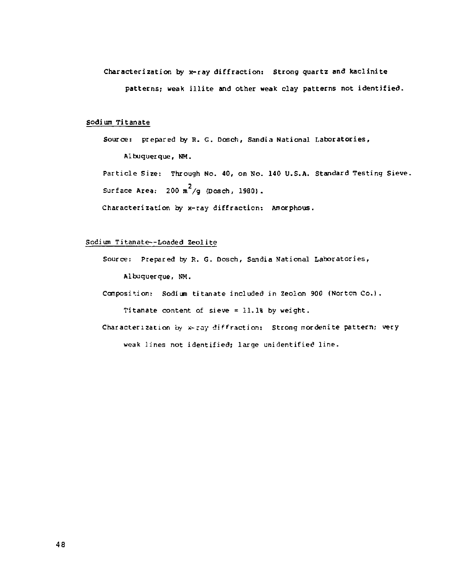# Characterization by x-ray diffraction; Strong quartz and kaclinite

patterns; weak illite and other weak clay patterns not identified.

#### Sodium Titanate

Source: prepared by R. G. Dosch, Sandia National Laboratories, Albuquerque, NM.

Particle Size: Through No. 40, on No. 140 U.S.A. Standard Testing Sieve. Surface Area:  $200 \text{ m}^2/\text{q}$  (Dosch, 1980).

Characterization by x-ray diffraction: Amorphous.

#### Sodium Titanate—Loaded Zeolite

Source: Prepared by R. G. Dosch, Sandia National Laboratories, Albuquerque, NM.

Composition: Sodium titanate included in Zeolon 900 (Norton Co.).

Titanate content of sieve = 11.1% by weight.

Characterization by x-ray diffraction: Strong mordenite pattern; very weak lines not identified; large unidentified line .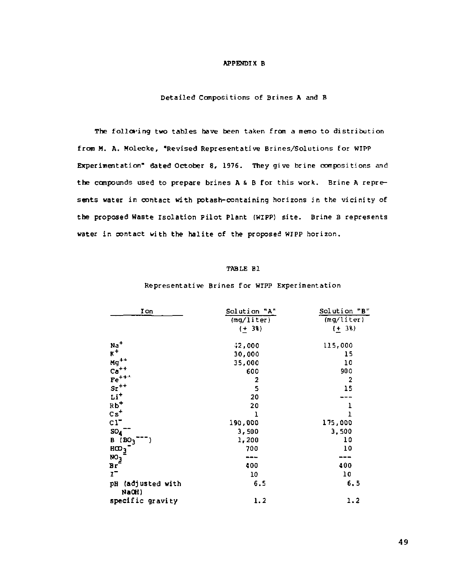#### APPENDIX B

Detailed Compositions of Brines A and B

The following two tables have been taken from a memo to distribution from M. A. Molecke, "Revised Representative Brines/Solutions for WIPP Experimentation" dated October 8, 1976. They give brine compositions and the compounds used to prepare brines A & B for this work. Brine A represents water in contact with potash-containing horizons in the vicinity of the proposed Waste Isolation Pilot Plant (WIPP) site. Brine B represents water in contact with the halite of the proposed WIPP horizon.

#### TABLE Bl

#### Representative Brines for WIPP Experimentation

| Ion                           | Solution "A"<br>(mq/liter) | Solution "B"<br>(mg/liter) |
|-------------------------------|----------------------------|----------------------------|
|                               | $(+ 38)$                   | $(+ 38)$                   |
| $\frac{Na}{K^+}$              | $-2,000$                   | 115,000                    |
|                               | 30,000                     | 15                         |
| ${ {\rm Mg} }^{++}$           | 35,000                     | 10                         |
| $Ca++$                        | 600                        | 900                        |
| $\mathrm{Fe}^{+++}$           | $\overline{a}$             | $\overline{2}$             |
| $\rm{sr}^{++}$                | 5                          | 15                         |
| $Li+$                         | 20                         |                            |
| $Rb^+$                        | 20                         | ı                          |
| $c_s$ +                       | ı                          | ı                          |
| $c1^-$                        | 190,000                    | 175,000                    |
| SO <sub>4</sub>               | 3,500                      | 3,500                      |
| (BO <sub>3</sub> )<br>в       | 1,200                      | 10                         |
| HCD <sub>3</sub>              | 700                        | 10                         |
|                               | ---                        |                            |
| $\frac{NO_3}{Br}$             | 400                        | 400                        |
| $\mathbf{r}$                  | 10                         | 10                         |
| (adjusted with<br>pH<br>NaOH) | 6.5                        | 6.5                        |
| specific gravity              | 1.2                        | 1.2                        |